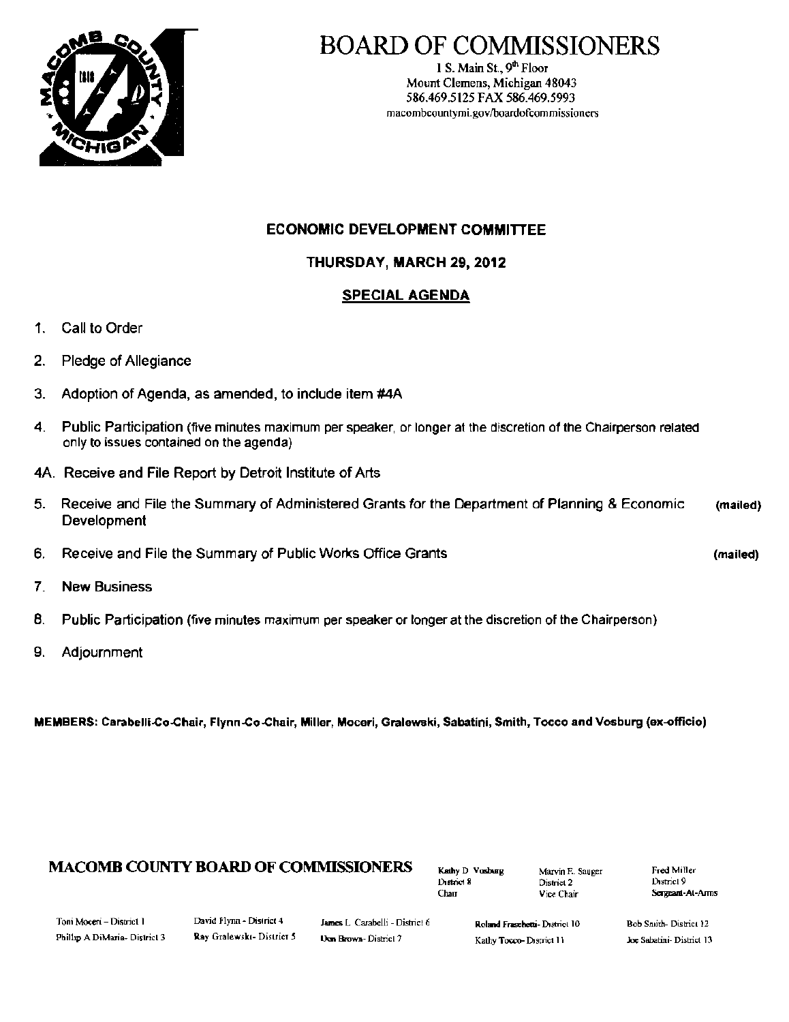

## BOARD OF COMMISSIONERS

1 S. Main St.,  $9<sup>th</sup>$  Floor Mount Clemens, Michigan 48043 586.469.5125 FAX 586.469.5993 macombcountymi.gov/boardofcommissioners

#### ECONOMIC DEVELOPMENT COMMITIEE

THURSDAY, MARCH 29, 2012

#### SPECIAL AGENDA

- 1. Call to Order
- 2. Pledge of Allegiance
- 3. Adoption of Agenda, as amended, to include item #4A
- 4. Public Participation (five minutes maximum per speaker, or longer at the discretion of the Chairperson related only to issues contained on the agenda)
- 4A. Receive and File Report by Detroit Institute of Arts
- 5. Receive and File the Summary of Administered Grants for the Department of Planning & Economic (mailed) **Development**
- 6. Receive and File the Summary of Public Works Office Grants (mailed) (mailed)
- 7. New Business
- B. Public Participation (five minutes maximum per speaker or longer at the discretion of the Chairperson)
- 9. Adjournment

MEMBERS: Carabelli-Co-Chair, Flynn-Co-Chair, Miller, Moceri, Gralewski, Sabatini, Smith, Tocco and Vosburg (ex-officio)

## **MACOMB COUNTY BOARD OF COMMISSIONERS** Kathy D. Vosburg Marvin E. Sauger Fred Miller<br>District 8 District 2 District 2

J), District 8 District 2<br>Chair Vice Chai

Vice Chair **Sergeant-At-Arms** 

| Toni Moceri – District 1     |  |
|------------------------------|--|
| Philip A DiMaria- District 3 |  |

David Flynn - District 4 James L. Carabelli - District 6 Rohand Fraschetti- District 10 Bob Sn,ith- District 12

Ray Gralewski- District 5 Ucm Brown- District 7 Kathy Tocco- District 11 Joe Sabatini- District 13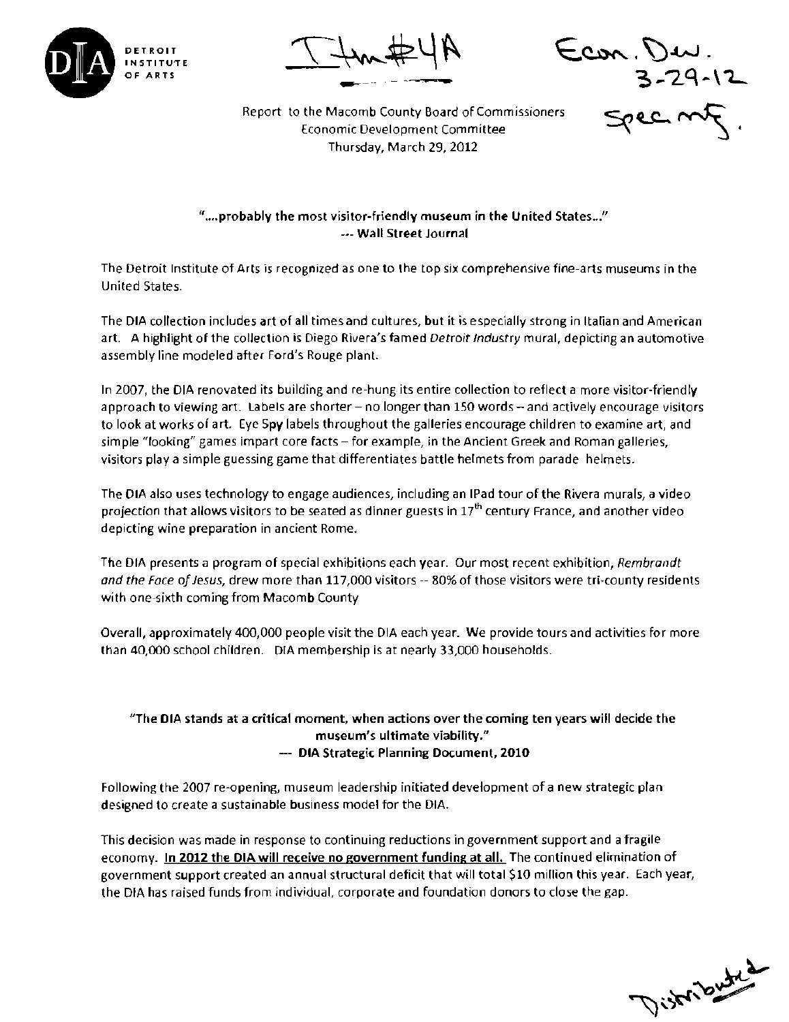

DETROIT  $T+w+H$  . Econ. Dev.

<del>1</del> 3-29-12

Report to the Macomb County Board of Commissioners Economic Development Committee Service Service Committee Thursday, March 29, 2012

"....probably the most visitor-friendly museum in the United States..." --- Wall Street Journal

The Detroit Institute of Arts is recognized as one to the top six comprehensive fine-arts museums in the United States.

The DIA collection includes art of all times and cultures, but it is especially strong in Italian and American art. A highlight of the collection is Diego Rivera's famed Detroit Industry mural, depicting an automotive assembly line modeled after Ford's Rouge plant.

In 2007, the DIA renovated its building and re-hung its entire collection to reflect a more visitor-friendly approach to viewing art. Labels are shorter - no longer than 150 words - and actively encourage visitors to look at works of art. Eye Spy labels throughout the galleries encourage children to examine art, and simple "looking" games impart core facts - for example, in the Ancient Greek and Roman galleries, visitors playa simple guessing game that differentiates battle helmets from parade helmets.

The DIA also uses technology to engage audiences, including an IPad tour of the Rivera murals, a video projection that allows visitors to be seated as dinner guests in 17<sup>th</sup> century France, and another video depicting wine preparation in ancient Rome.

The OIA presents a program of special exhibitions each year. Our most recent exhibition, *Rembrandt*  and the Face of Jesus, drew more than 117,000 visitors -- 80% of those visitors were tri-county residents with one-sixth coming from Macomb County

Overall, approximately 400,000 people visit the OIA each year. We provide tours and activities for more than 40,000 school children. OIA membership is at nearly 33,000 households.

#### "The DIA stands at a critical moment, when actions over the coming ten years will decide the museum's ultimate viability." --- DIA Strategic Planning Document, 2010

Following the 2007 re~opening, museum leadership initiated development of a new strategic plan designed to create a sustainable business model for the OIA.

This decision was made in response to continuing reductions in government support and a fragile economy. In 2012 the DIA will receive no government funding at all. The continued elimination of government support created an annual structural deficit that will total \$10 million this year. Each year, the OIA has raised funds from individual, corporate and foundation donors to close the gap.

Distributed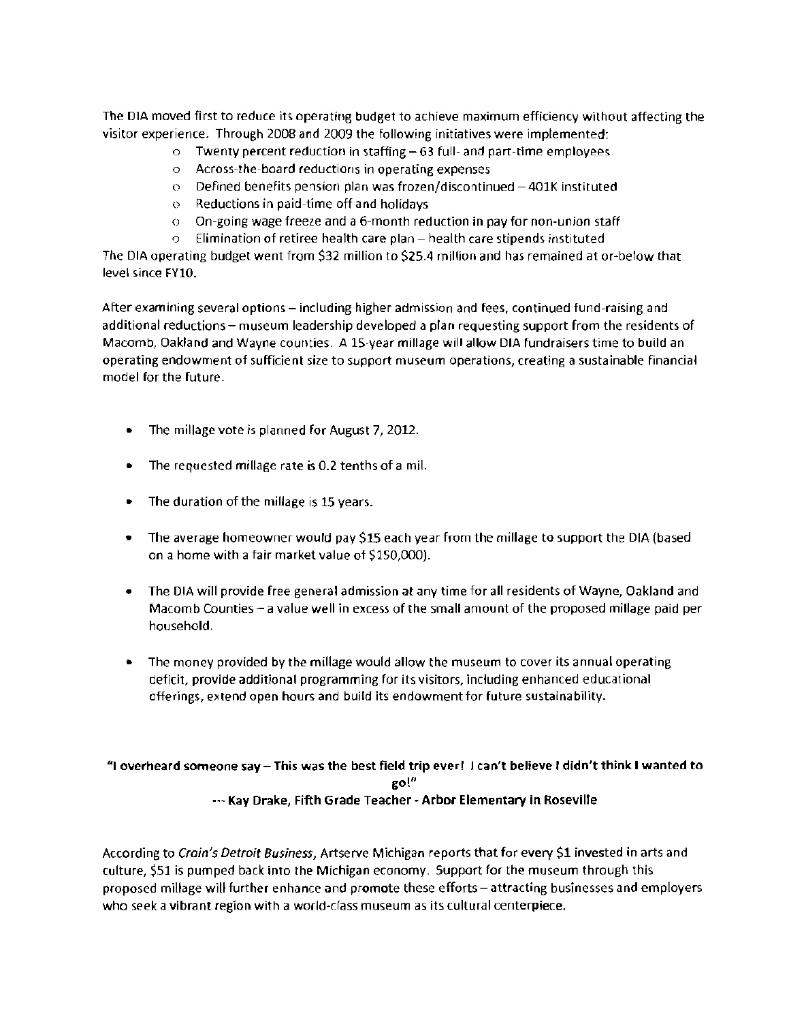The DIA moved first to reduce its operating budget to achieve maximum efficiency without affecting the visitor experience. Through 2008 and 2009 the following initiatives were implemented:

- $\circ$  Twenty percent reduction in staffing  $-63$  full- and part-time employees
- $\circ$  Across-the-board reductions in operating expenses
- $\circ$  Defined benefits pension plan was frozen/discontinued -401K instituted
- $\circ$  Reductions in paid-time off and holidays
- $\circ$  On-going wage freeze and a 6-month reduction in pay for non-union staff
- $\sigma$  Elimination of retiree health care plan health care stipends instituted

The DIA operating budget went from \$32 million to \$2S.4 million and has remained at or~below that level since FY10.

After examining several options - including higher admission and fees, continued fund-raising and additional reductions - museum leadership developed a plan requesting support from the residents of Macomb, Oakland and Wayne counties. A IS-year millage will allow DIA fundraisers time to build an operating endowment of sufficient size to support museum operations, creating a sustainable financial model forthe future.

- The millage vote is planned for August 7, 2012.
- The requested millage rate is 0.2 tenths of a mil.
- The duration of the millage is 15 years.
- The average homeowner would pay \$15 each year from the millage to support the DIA (based on a home with a fair market value of \$150,000).
- The DIA will provide free general admission at any time for all residents of Wayne, Oakland and Macomb Counties  $-$  a value well in excess of the small amount of the proposed millage paid per household.
- The money provided by the millage would allow the museum to cover its annual operating deficit, provide additional programming for its visitors, including enhanced educational offerings, extend open hours and build its endowment for future sustainability.

#### "I overheard someone say - This was the best field trip ever! Jcan't believe I didn't think I wanted to go!" --- Kay Drake, Fifth Grade Teacher - Arbor Elementary in Roseville

According to Crain's Detroit Business, Artserve Michigan reports that for every \$1 invested in arts and culture, \$51 is pumped back into the Michigan economy. Support for the museum through this proposed millage will further enhance and promote these efforts - attracting businesses and employers who seek a vibrant region with a world-class museum as its cultural centerpiece.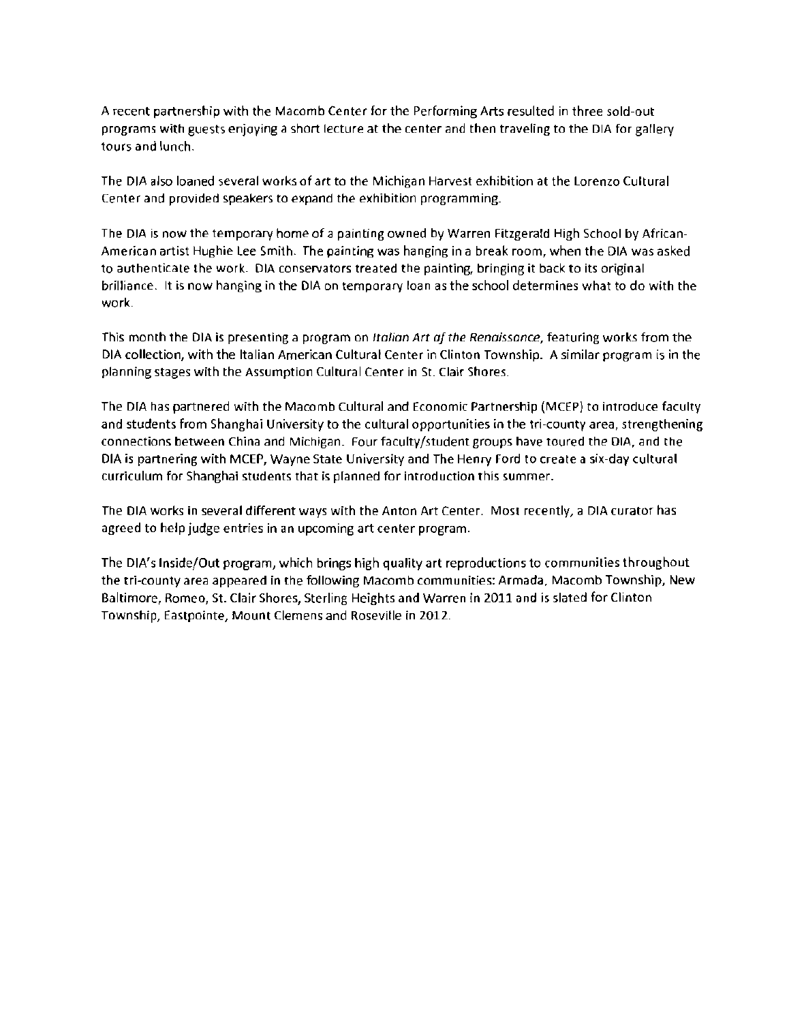A recent partnership with the Macomb Center for the Performing Arts resulted in three sold-out programs with guests enjoying a short lecture at the center and then traveling to the DIA for gallery tours and lunch.

The DIA also loaned several works of art to the Michigan Harvest exhibition at the Lorenzo Cultural Center and provided speakers to expand the exhibition programming.

The DIA is now the temporary home of a painting owned by Warren Fitzgerald High School by African-American artist Hughie Lee Smith. The painting was hanging in a break room, when the DIA was asked to authenticate the work. DIA conservators treated the painting, bringing it back to its original brilliance. It is now hanging in the DIA on temporary loan as the school determines what to do with the work.

This month the DIA is presenting a program on *Italian Art af the Renaissance,* featuring works from the DIA collection, with the Italian American Cultural Center in Clinton Township. A similar program is in the planning stages with the Assumption Cultural Center in St. Clair Shores.

The DIA has partnered with the Macomb Cultural and Economic Partnership (MCEP) to introduce faculty and students from Shanghai University to the cultural opportunities in the tri-county area, strengthening connections between China and Michigan. Four faculty/student groups have toured the DIA, and the DIA is partnering with MCEP, Wayne State University and The Henry Ford to create a six-day cultural curriculum for Shanghai students that is planned for introduction this summer.

The DIA works in several different ways with the Anton Art Center. Most recently, a DIA curator has agreed to help judge entries in an upcoming art center program.

The DIA's Inside/Out program, which brings high quality art reproductions to communities throughout the tri-county area appeared in the following Macomb communities: Armada, Macomb Township, New Baltimore, Romeo, St. Clair Shores, Sterling Heights and Warren in 2011 and is slated for Clinton Township, Eastpointe, Mount Clemens and Roseville in 2012.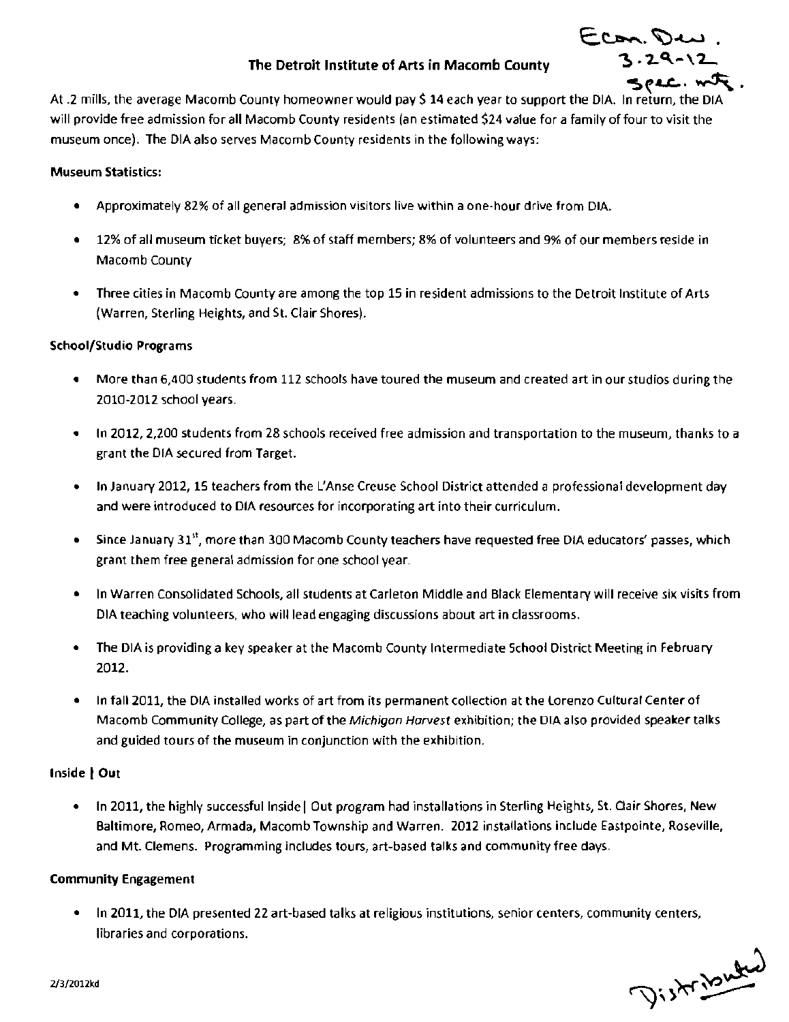#### The Detroit Institute of Arts in Macomb County

. Econ. Deu<br>1.29-12  $S$ PAC. $\kappa$ 

At .2 mills, the average Macomb County homeowner would pay \$ 14 each year to support the DIA. In return, the DIA will provide free admission for all Macomb County residents (an estimated \$24 value for a family of four to visit the museum once). The DIA also serves Macomb County residents in the following ways:

#### Museum Statistics:

- • Approximately 82% of all general admission visitors live within a one-hour drive from DIA.
- • 12% of all museum ticket buyers; B% of staff members; 8% of volunteers and 9% of our members reside in Macomb County
- • Three cities in Macomb County are among the top 15 in resident admissions to the Detroit Institute of Arts (Warren, Sterling Heights, and St. Clair Shores).

#### School/Studio Programs

- • More than 6,400 students from 112 schools have toured the museum and created art in our studios during the 2010-2012 school years.
- • In 2012, 2,200 students from 28 schools received free admission and transportation to the museum, thanks to a grant the DIA secured from Target.
- • In January 2012, 1S teachers from the L'Anse Creuse School District attended a professional development day and were introduced to DIA resources for incorporating art into their curriculum.
- Since January 31<sup>st</sup>, more than 300 Macomb County teachers have requested free DIA educators' passes, which grant them free general admission for one school year.
- • In Warren Consolidated Schools, all students at Carleton Middle and Black Elementary will receive six visits from DIA teaching volunteers, who will lead engaging discussions about art in classrooms.
- The DIA is providing a key speaker at the Macomb County Intermediate School District Meeting in February 2012.
- In fall 2011, the DIA installed works of art from its permanent collection at the Lorenzo Cultural Center of Macomb Community College, as part of the Michigan Harvest exhibition; the DIA also provided speaker talks and guided tours of the museum in conjunction with the exhibition.

#### Inside | Out

In 2011, the highly successful Inside | Out program had installations in Sterling Heights, St. Clair Shores, New Baltimore, Romeo, Armada, Macomb Township and Warren. 2012 installations include Eastpointe, Roseville, and Mt. Clemens. Programming includes tours, art-based talks and community free days.

#### Community Engagement

In 2011, the DIA presented 22 art-based talks at religious institutions, senior centers, community centers, libraries and corporations.

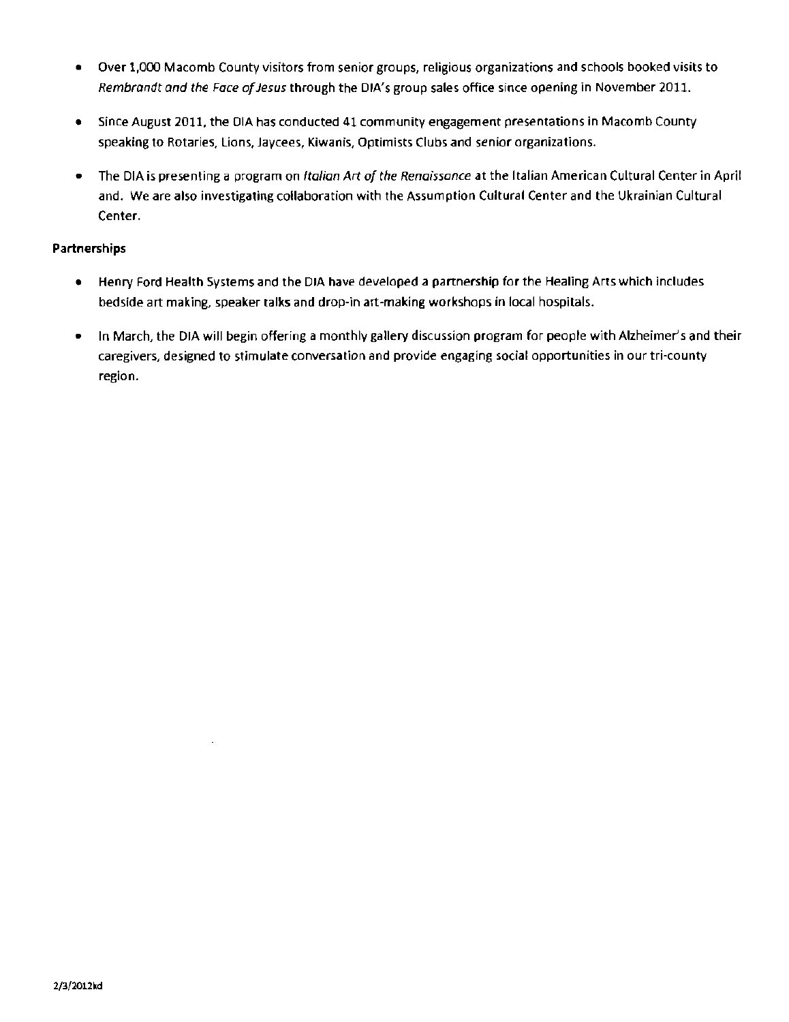- • Over 1,000 Macomb County visitors from senior groups, religious organizations and schools booked visits to *Rembrandt and the Face of Jesus through the DIA's group sales office since opening in November 2011.*
- • Since August 2011, the DIA has conducted 41 community engagement presentations in Macomb County speaking to Rotaries, lions, Jaycees, Kiwanis, Optimists Clubs and senior organizations.
- • The DIA is presenting a program on *Italian Art a/the Renaissance* at the Italian American Cultural Center in April and. We are also investigating collaboration with the Assumption Cultural Center and the Ukrainian Cultural Center.

#### **Partnerships**

- • Henry Ford Health Systems and the DIA have developed a partnership for the Healing Arts which includes bedside art making, speaker talks and drop-in art-making workshops in local hospitals.
- In March, the DIA will begin offering a monthly gallery discussion program for people with Alzheimer's and their caregivers, designed to stimulate conversation and provide engaging social opportunities in our tri-county region.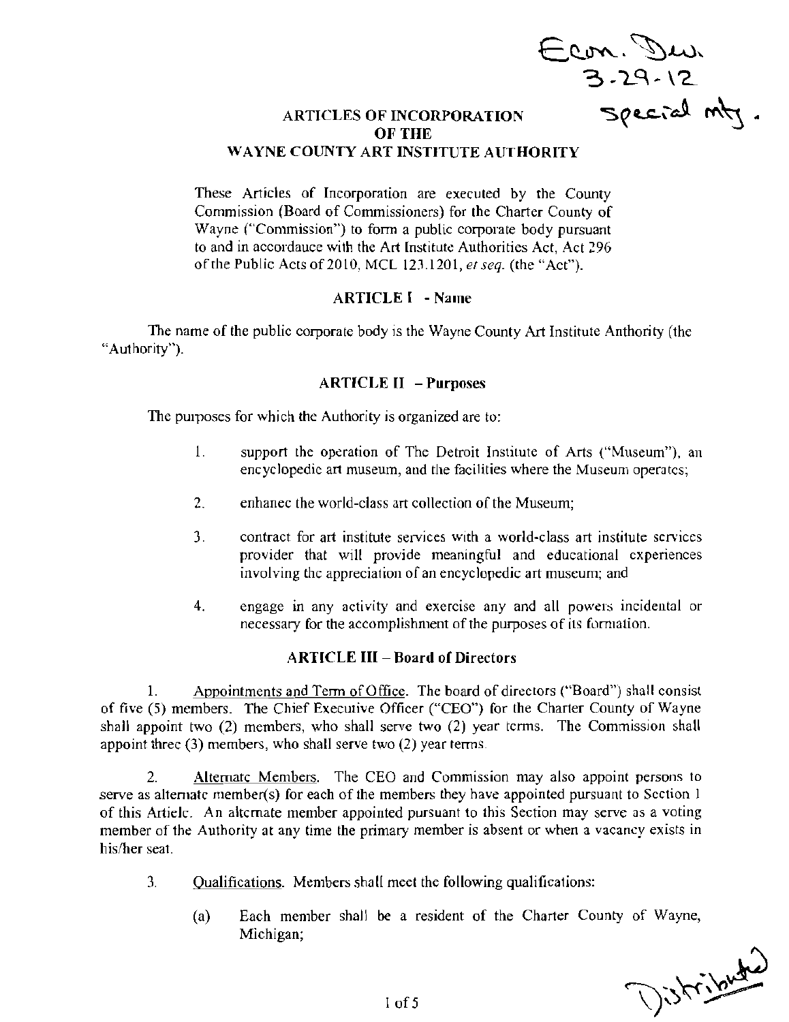Econ. Dur  $3 - 29 - 12$ 

#### ARTICLES OF INCORPORATION  $\mathbb{S}\varrho$ ec.  $\infty$  m $\forall$ . OF THE WAYNE COUNTY ART INSTITUTE AUTHORITY

These Articles of Incorporation are executed by the County Commission (Board of Commissioners) for the Charter County of Wayne ("Commission") to form a public corporate body pursuant to and in accordauce with the Art [nstitute Authorities Act, Act 296 of the Public Acts of 2010, MCL 123.1201, *et seq.* (the "Act").

#### ARTICLE I - Name

The name of the public corporate body is the Wayne County Art Institute Anthority (the "Authority").

#### ARTICLE II - Purposes

The purposes for which the Authority is organized are to:

- 1. support the operation of The Detroit Institute of Arts ("Museum"), an encyclopedic art museum, and the facilities where the Museum operates;
- 2. enhanec the world-class art collection of the Museum;
- 3. contract for art institute services with a world-class art institute services provider that will provide meaningful and educational experiences involving the appreciation of an encyclopedic art museum; and
- 4. engage in any activity and exercise any and all powers incidental or necessary for the accomplishment of the purposes of its formation.

#### ARTICLE III - Board of Directors

1. Appointments and Term of Office. The board of directors ("Board") shall consist of five (5) members. The Chief Executive Officer ("CEO") for the Charter County of Wayne shall appoint two (2) members, who shall serve two (2) year terms. The Commission shall appoint three  $(3)$  members, who shall serve two  $(2)$  year terms.

2. Alternate Members. The CEO and Commission may also appoint persons to serve as alternate member(s) for each of the members they have appointed pursuant to Section 1 of this Artiele. An alternate member appointed pursuant to this Section may serve as a voting member of the Authority at any time the primary member is absent or when a vacancy exists in his/her seat.

- 3. Qualifications. Members shaH meet the following qualifications:
	- (a) Each member shall be a resident of the Charter County of Wayne, Michigan;

Distributed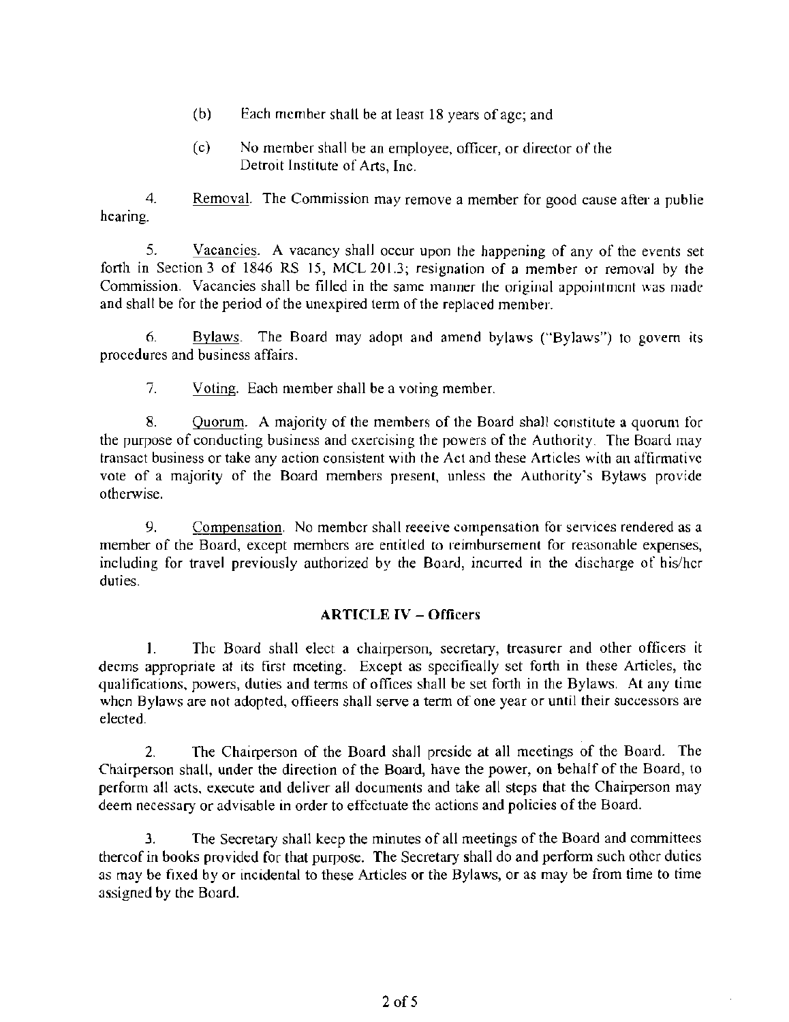- (b) Each member shall be at least 18 years of age; and
- (c) No member shall be an employee, officer, or director of the Detroit Institute of Arts, Inc.

4. Removal. The Commission may remove a member for good cause after a publie hearing.

5. Vacancies. A vacancy shall occur upon the happening of any of the events set forth in Section 3 of 1846 RS 15, MCL 201.3; resignation of a member or removal by the Commission. Vacancies shall be filled in the same manner the original appointment was made and shall be for the period of the unexpired term of the replaced member.

6. Bylaws. The Board may adopt and amend bylaws ("Bylaws") to govern its procedures and business affairs.

7. Voting. Each member shall be a voting member.

8. Quorum. A majority of the members of the Board shall constitute a quorum for the purpose of conducting business and exercising the powers of the Authority. The Board may transact business or take any action consistent with the Act and these Articles wilh an affirmative vote of a majority of the Board members present, unless the Authority's Bylaws provide otherwise.

9. Compensation. No member shall reeeive compensation for services rendered as a member of the Board, except members are entitled to reimbursement for reasonable expenses, including for travel previously authorized by the Board, incurred in the discharge of his/her duties.

#### ARTICLE IV - Officers

I. The Board shall elect a chairperson, secretary, treasurer and other officers it deems appropriate at its first mceting. Except as specifically set forth in these Articles, the qualifications, powers, duties and terms of offices shall be set forth in the Bylaws. At any time when Bylaws are not adopted, offieers shall serve a term of one year or until their successors are elected.

2. The Chairperson of the Board shall preside at all meetings of the Board. The Chairperson shall, under the direction of the Board, have the power, on behalf of the Board, to perform all acts, execute and deliver all documents and take all steps that the Chairperson may deem necessary or advisable in order to effectuate the actions and policies of the Board.

J. The Secretary shall keep the minutes of all meetings of the Board and committees thereof in books provided for that purpose. The Secretary shall do and perform such other duties as may be fixed by or incidental to these Articles or the Bylaws, or as may be from time to time assigned by the Board.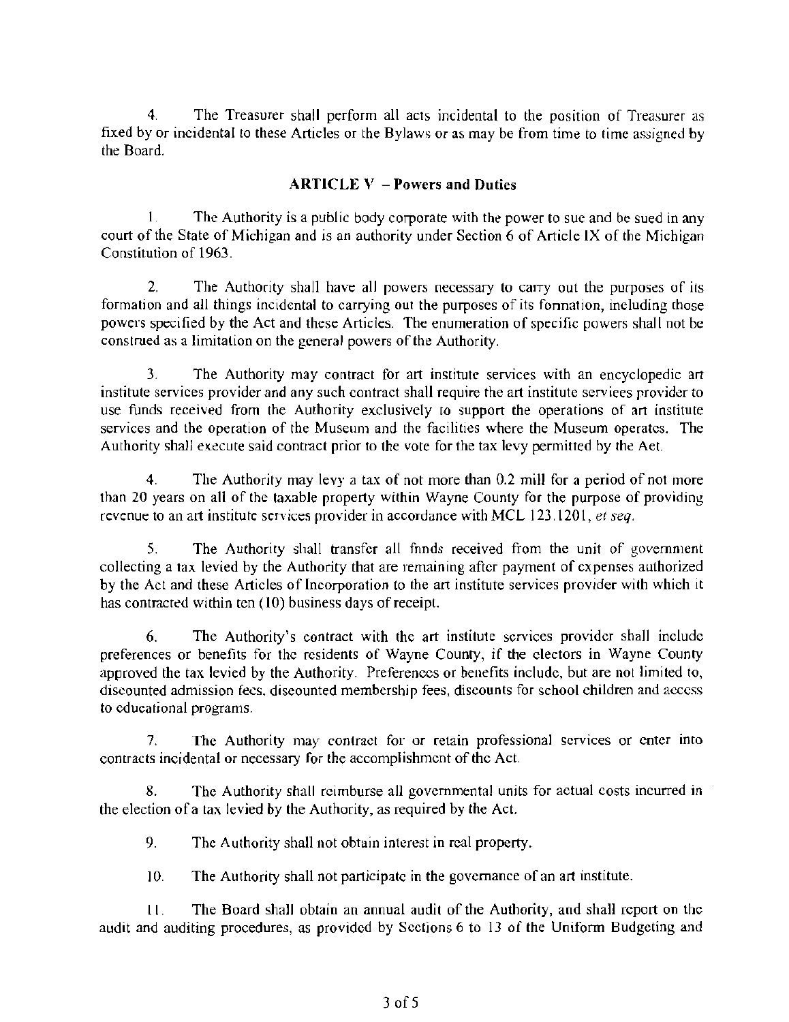4. The Treasurer shall perform all acts incidental to the position of Treasurer as fixed by or incidental to these Articles or the Bylaws or as may be from time to time assigned by the Board.

#### $ARTICEV - Powers$  and Duties

1. The Authority is a public body corporate with the power to sue and be sued in any court of the State of Michigan and is an authority under Section 6 of Article IX of the Michigan Constitution of 1963.

2. The Authority shall have all powers necessary to carry out the purposes of its formation and all things incidental to carrying out the purposes of its fonnation, including (hose powers specified by the Act and these Articles. The enumeration of specific powers shall not be construed as a limitation on the general powers of the Authority.

3. The Authority may contract for art institute services with an encyclopedic art institute services provider and any such contract shall require the art institute serviees provider to use funds received from the Authority exclusively to support the operations of art institute services and the operation of the Museum and the facilities where the Museum operates. The Authority shall execute said contract prior to the vote for the tax levy permitted by the Aet.

4. The Authority may levy a tax of not more than 0.2 mill for a period of not more than 20 years on all of the taxable property within Wayne County for the purpose of providing revenue to an art institute services provider in accordance with MCL 123.1201, *et seq.* 

5. The Authority shall transfer all fnnds received from the unit of government collecting a tax levied by the Authority that are remaining after payment of expenses authorized by the Act and these Articles of Incorporation to the art institute services provider with which it has contracted within ten (10) business days of receipt.

6. The Authority's contract with the art institute services provider shall include preferences or benefits for the residents of Wayne County, if the electors in Wayne County approved the tax levied by the Authority. Preferences or benefits include, but are not limited to, discounted admission fees. discounted membership fees, discounts for school children and access to educational programs.

7. The Authority may contract for or retain professional services or enter into contracts incidental or necessary for the accomplishment of the Act.

8. The Authority shall reimburse all governmental units for actual costs incurred in the election of a tax levied by the Authority, as required by the Act.

9. The Authority shall not obtain interest in real property.

10. The Authority shall not participate in the governance of an art institute.

LL. The Board shall obtain an annual audit of the Authority, and shall report on the audit and auditing procedures, as provided by Sections 6 to 13 of the Uniform Budgeting and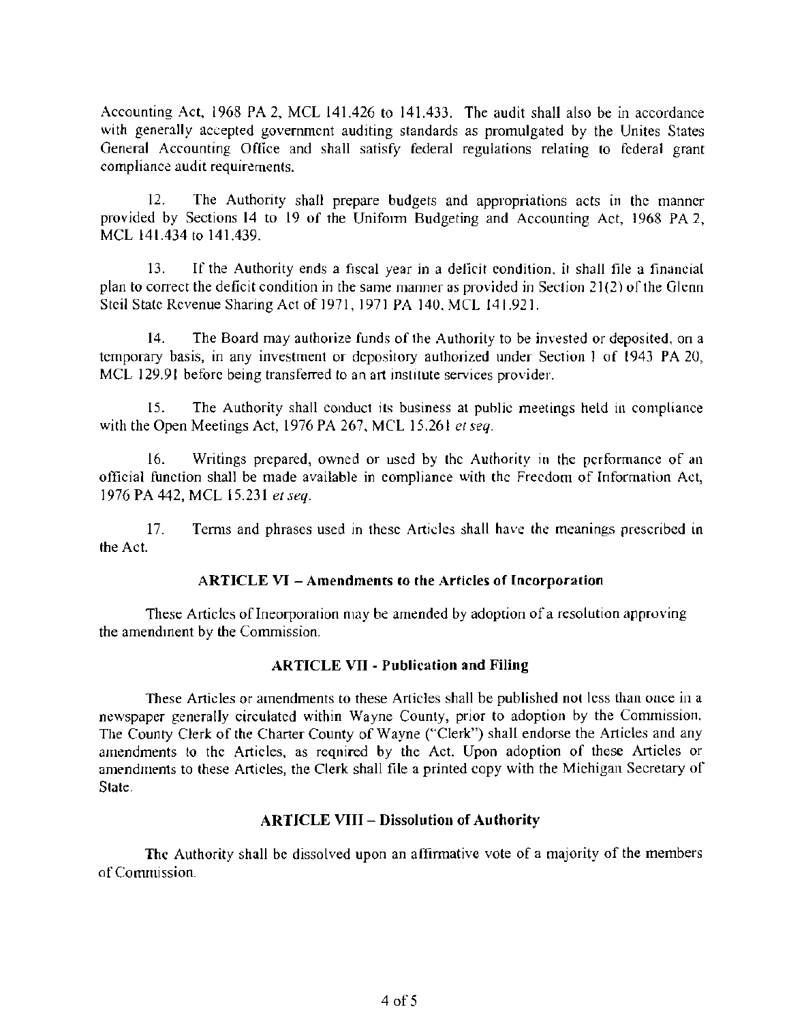Accounting Act, 1968 PA 2, MCL 141.426 to 141.433. The audit shall also be in accordance with generally accepted government auditing standards as promulgated by the Unites States General Accounting Office and shall satisfy federal regulations relating to federal grant compliance audit requirements.

12. The Authority shall prepare budgets and appropriations acts in the manner provided by Sections 14 to 19 of the Uniform Budgeting and Accounting Act, 1968 PA 2, MCL 141.434 to 141.439.

13. If the Authority ends a fiscal year in a deficit condition, it shall file a financial plan to correct the deficit condition in the same manner as provided in Section  $21(2)$  of the Glenn Steil State Revenue Sharing Act of1971. 1971 PA 140.MCL 141.921.

14. The Board may authorize funds of the Authority to be invested or deposited, on a temporary basis, in any investment or depository authorized under Section I of (943 PA 20, MCL 129.91 before being transferred to an art institute services provider.

15. The Authority shall conduct its business at public meetings held in compliance with the Open Meetings Act, 1976 PA 267, MCL 15.261 et seq.

16. Writings prepared, owned or used by Ihc Authority in the performance of an official function shall be made available in compliance with thc Freedom of lnformation Act, 1976PA442,MCL 15.231 *elseq.* 

17. Terms and phrases used in these Articles shall have the meanings prescribed in the Act.

#### ARTICLE VI - Amendments to the Articles of Incorporation

These Articles of Ineorporation may be amended by adoption of a resolution approving the amendment by the Commission.

#### ARTICLE VII - Publication and Filing

These Articles or amendments to these Articles shall be published not less than once in a newspaper generally circulated within Wayne County, prior to adoption by the Commission. The County Clerk of the Charter County of Wayne ("Clerk") shall endorse the Articles and any amendments to the Articles, as reqnired by the Act. Upon adoption of these Articles or amendments to these Articles, the Clerk shall file a printed copy with the Michigan Secretary of State.

#### ARTICLE VIII - Dissolution of Authority

The Authority shall be dissolved upon an affinnative vote of a majority of the members of Commission.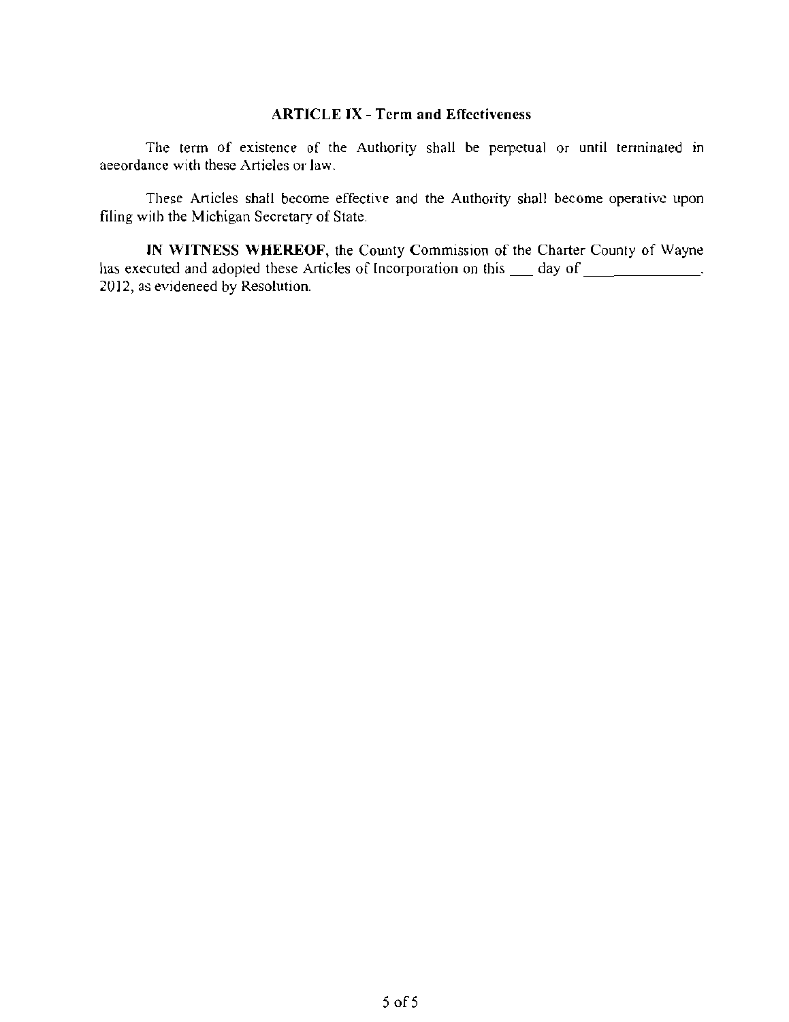#### ARTICLE IX - Tcrm and Effcctiveness

The term of existence of the Authority shall be perpetual or until terminated in aeeordance with these Articles or law.

These Articles shall become effective and the Authority shall become operative upon filing with the Michigan Secretary of State.

IN WITNESS WHEREOF, the County Commission of the Charter County of Wayne has executed and adopted these Articles of Incorporation on this \_\_\_ day of \_\_\_\_\_\_\_\_\_\_\_\_\_. 2012, as evideneed by Resolution.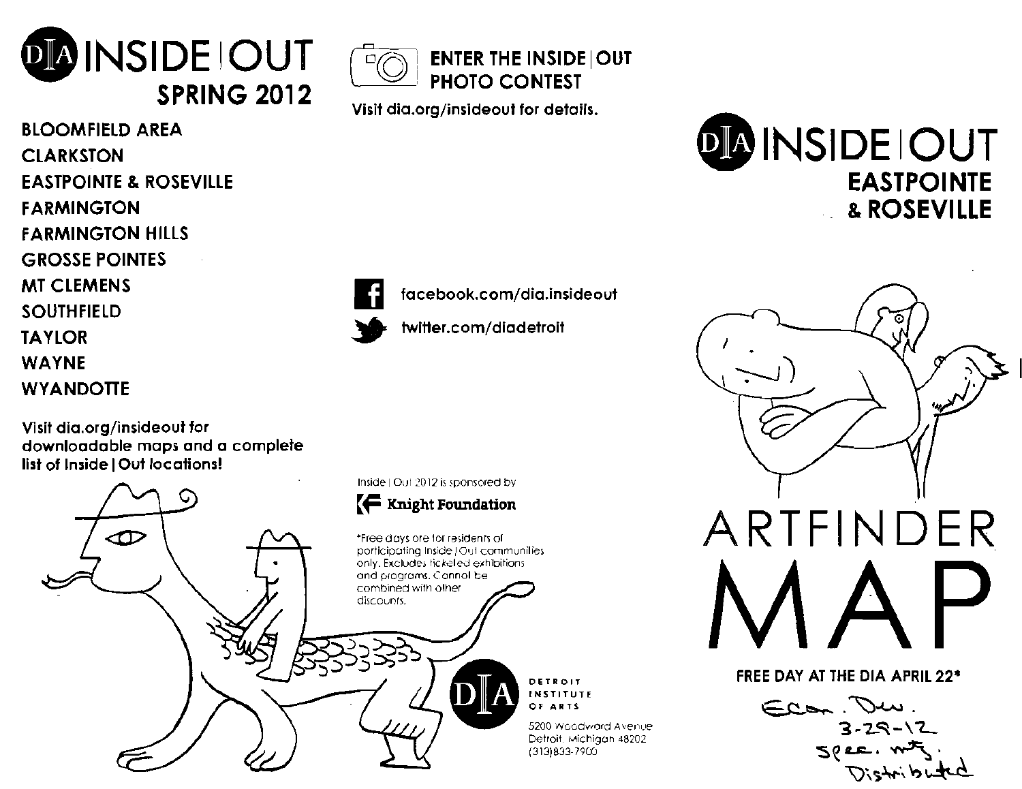

BLOOMFIELD AREA **CLARKSTON** EASTPOINTE & ROSEVILLE FARMINGTON FARMINGTON HILLS GROSSE POINTES MT CLEMENS SOUTHFiElD TAYlOR WAYNE **WYANDOTTE** 

Visit dia.org/insideout for downloadable maps and a complete list of Inside I Out locations!





Visit dia.org/insideout for details.

facebook.com/dia.insideout

twitter.com/diadetroit





FREE DAY AT THE DIA APRIL 22"

 $\sim$  $3 - 29 - 12$  $5$  (e.e.  $m$  $\mathcal{F}_1$ )  $D$ 'ship  $H$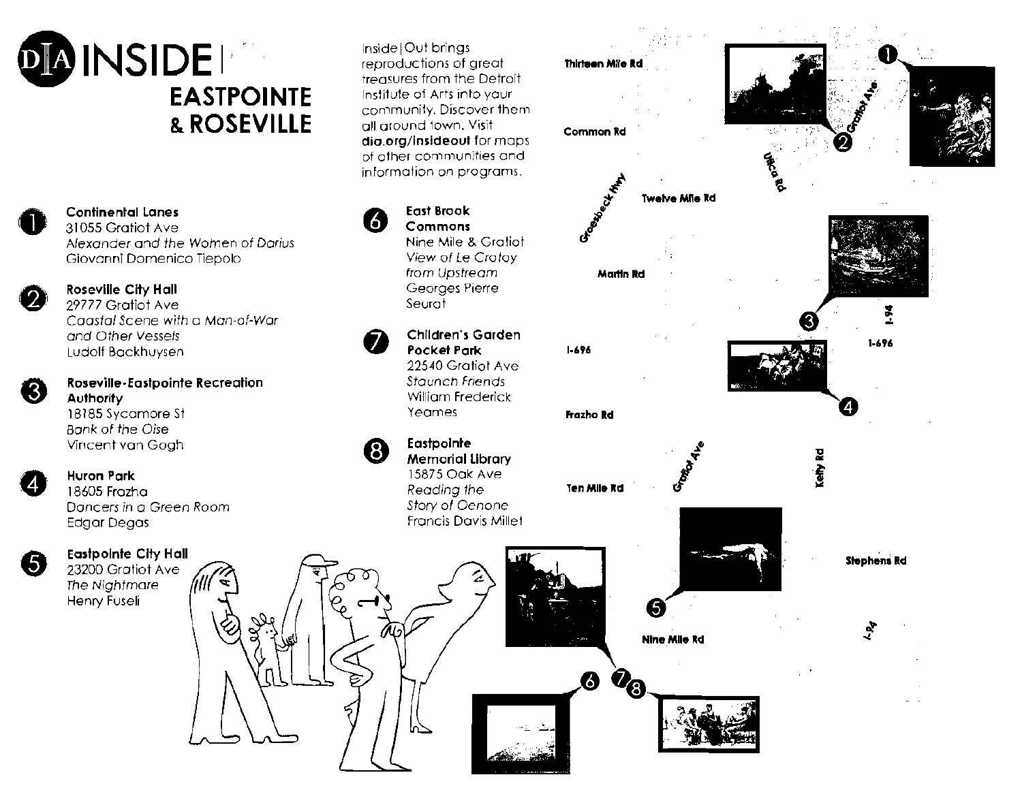



#### **Continental lanes**  31055 Gratiot Ave

 $rac{c}{\lambda}$ Alexander and the Women of Darius Giovanni Domenico Tiepolo



## **Roseville City Hall**

29777 Gratiot Ave Coastal Scene with a Man-of-War and Other Vessels Ludoll Bockhuysen



pooli<br>**psev**<br>utho<br>3185<br>prik s **Roseville-Eastpointe Recreation Authority**  18185 Sycamore st



#### 0 **Huron Park**

Dancers in a Green Room story of Oenone Edgar Degas Francis Davis Millet 18605 Frozha

.<br>مح



Eastpointe City Hall<br>
23200 Gratiot Ave<br>
The Nightmare **INCS** The Nightmare Henry Fuseli

Inside lOut brings reproductions of great treasures from the Detroit Institute of Arts jnto your community, Discover them all around town. Visit **dia.org/insideout** for maps of other communities and information on programs.



G)

**East Brook**<br>**Commons**<br>Nine Mile 8 **East Brook**  Nine Mile & Gratiot View of Le Crotoy from Upstream Georges Pierre Seurot

#### $\boldsymbol{\theta}$ **Children's Garden Pockel Park**

225-40 Gratiot Ave Staunch Friends William Frederick Yeames

**Eastpointe**  Memorial library 15875 Oak Ave Reading the

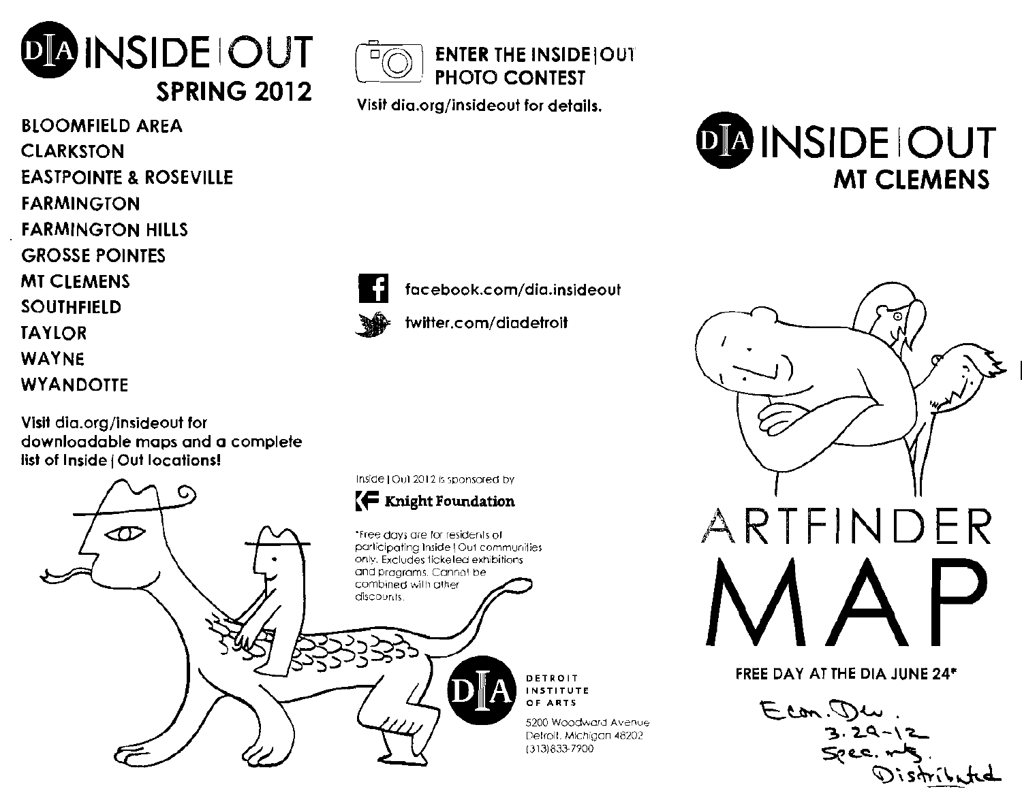

BLOOMFIELD AREA **CLARKSTON** EASTPOINTE & ROSEVILLE FARMINGTON FARMINGTON HILLS GROSSE POINTES MT CLEMENS SOUTHFIELD TAYlOR WAYNE **WYANDOTTE** 

Visil dia.org/insideoul for downloadable maps and a complete list of Inside | Out locations!





Visit dia.org/insideout for details.





I] facebook.com/dia.insideout

twitter.com/diadetroit

DETROIT **INSTITUTE** OF ARTS

5200 Woodward Avenue Delrall, Michigan 48202 (313)833-7?OO



FREE DAY AT THE DIA JUNE 24'

Econ. Den  $S$ per.  $\mathcal{D}$ istributed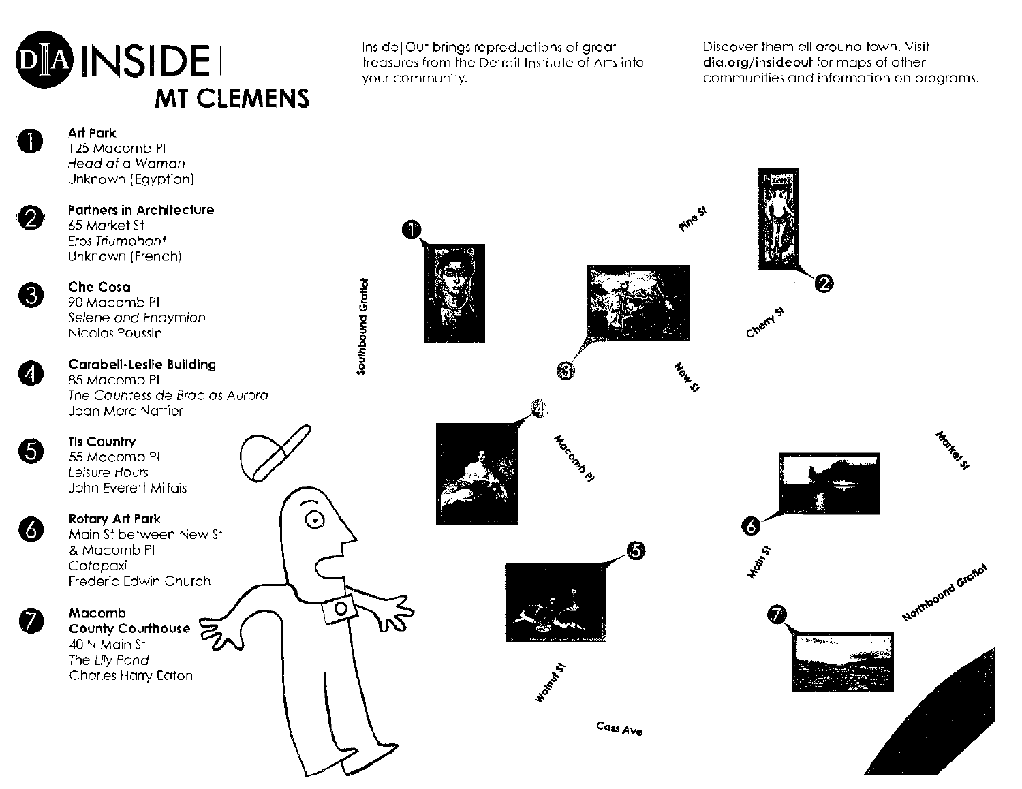# ENSIDE Inside | Out brings reproductions of great Discover them all around town. Visit<br>
Your community.<br>
MT CLEMENS **MT CLEMENS**

treasures from the Detroit Institute of Arts into **dia.org/insideout** for maps of other lawn. Visitude of Arts into an all a streagle of Arts into a dia.org/insideout for maps of other line of Arts into a communities and i your community. communities and information on programs.

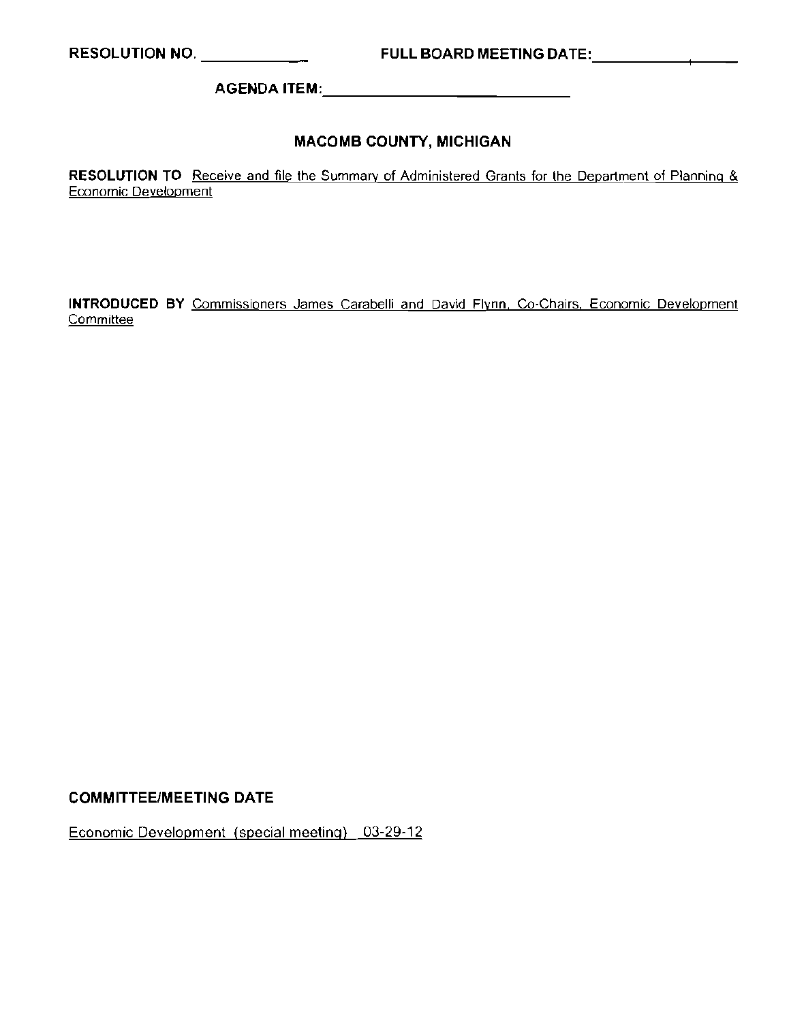RESOLUTION NO. \_ FULL BOARD MEETING DATE: --+-\_\_

AGENDA ITEM: \_

#### MACOMB COUNTY, MICHIGAN

**RESOLUTION TO** Receive and file the Summary of Administered Grants for the Department of Planning & Economic Development

**INTRODUCED BY** Commissioners James Carabelli and David **Flynn** Co-Chairs, Economic Development **Committee** 

#### COMMITTEE/MEETING DATE

Economic Development (special meeting) 03-29-12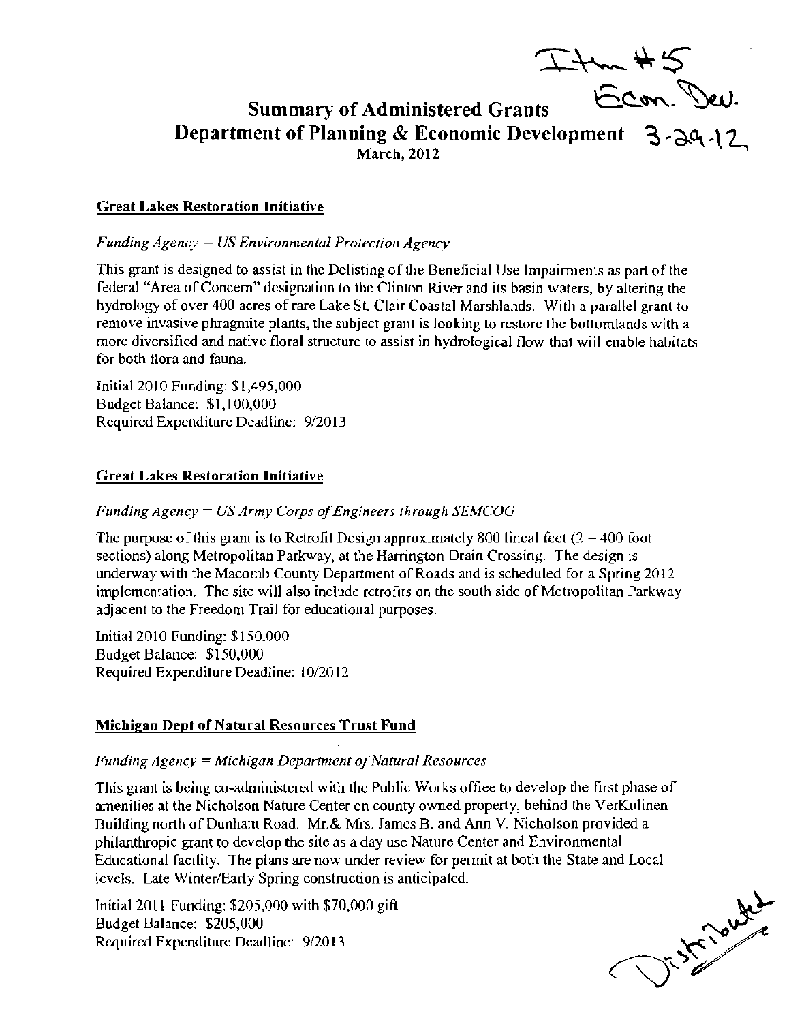'I..~~\$'

## Summary of Administered Grants  $6.8$ . Dev. Department of Planning & Economic Development 3-29 -12

#### Great Lakes Restoration Initiative

*Funding Agency* = *US Environmental Protection Agency* 

This grant is designed to assist in the Delisting ofthe Beneficial Use Impairments as part of the federal "Area ofConeem" designation 10 the Clinton River and its basin waters. by altering the hydrology of over 400 acres of rare Lake St. Clair Coastal Marshlands. With a parallel grant to remove invasive phragmite plants, the subject grant is looking to restore the botlomlands with a more diversified and native floral structure to assist in hydrological flow that will enable habitats for both flora and fauna.

Initial 2010 Funding: *\$1,495,000*  Budget Balance: \$1,100,000 Required Expenditure Deadline: 9/2013

#### Great Lakes Restoration Initiative

#### *Funding Agency = US Army Corps of Engineers through SEMCOG*

The purpose of this grant is to Retrofit Design approximately 800 lineal feet  $(2 - 400)$  foot sections) along Metropolitan Parkway, al the Harrington Drain Crossing. The design is underway with the Macomb County Department of Roads and is scheduled for a Spring 2012 implementation. The site will also include retrofits on the south side of Metropolitan Parkway adjacent to the Freedom Trail for educational purposes.

Initial 2010 Funding: *\$150.000*  Budget Balance: \$150,000 Required Expenditure Deadline: 10/2012

#### Michigan Dept of Natural Resources Trust Fund

#### *Funding Agency = Michigan Department of Natural Resources*

This grant is being co-administered with the Public Works offiee to develop the first phase of amenities at the Nicholson Nature Center on county owned property, behind the VerKulinen Building north of Dunham Road. Mr.& Mrs. James B. and Ann V. Nicholson provided a philanthropic grant to develop the site as a day use Nature Center and Environmental Educational facility. The plans are now under review for permit at both the State and Local levels. Late Winter/Early Spring construction is anticipated.

Initial 2011 Funding: *\$205,000* with *\$70,000* gift Budget Balance: \$205,000 Required Expenditure Deadline: 9/2013

J. Straute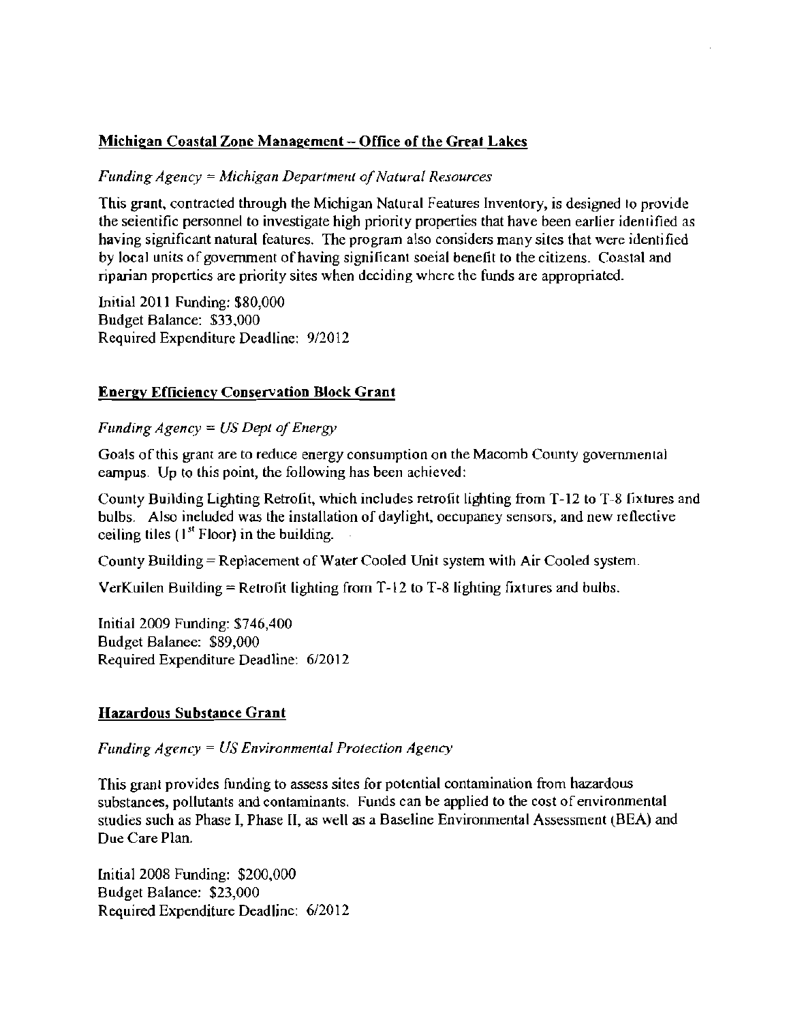#### Michigan Coastal Zone Management - Office of the Great Lakes

#### *Funding Agency* '= *Michigan Department o/Natural Resources*

This grant. contracted through the Michigan Natural Features Inventory, is designed to provide the seientific personnel to investigate high priority properties that have been earlier identified as having significant natural features. The program also considers many sites that were identified by local units of government of having significant soeial benefit to the citizens. Coastal and riparian properties are priority sites when deciding where the funds are appropriated.

Initial 2011 Funding: \$80,000 Budget Balance: \$33.000 Required Expenditure Deadline: 9/2012

#### Energy Efficiency Conservation Block Grant

#### *Funding Agency* = *US Dept o/Energy*

Goals of this grant are to reduce energy consumption on the Macomb County governmental eampus. Up to this point, the following has been achieved:

County Building lighting Retrofit, which includes retrofit lighting from T-12 to T-8 fixtures and bulbs. Also ineluded was the installation of daylight, oecupaney sensors, and new reflective ceiling tiles  $(1<sup>st</sup> Floor)$  in the building.

County Building = Replacement of Water Cooled Unit system with Air Cooled system.

VerKuilen Building = Retrofit lighting from  $T-12$  to T-8 lighting fixtures and bulbs.

Initial 2009 Funding: \$746,400 Budget Balanee: \$89,000 Required Expenditure Deadline: 6/2012

#### Hazardous Substance Grant

*Funding Agenq* = *US Environmental Protection Agency* 

This granl provides funding to assess sites for potential contamination from hazardous substances, pollutants and contaminants. Funds can be applied to the cost of environmental studies such as Phase I, Phase II, as well as a Baseline Environmental Assessment (SEA) and Due Care Plan.

Initial 2008 Funding: \$200,000 Budget Balance: \$23,000 Required Expenditure Deadline: 6/2012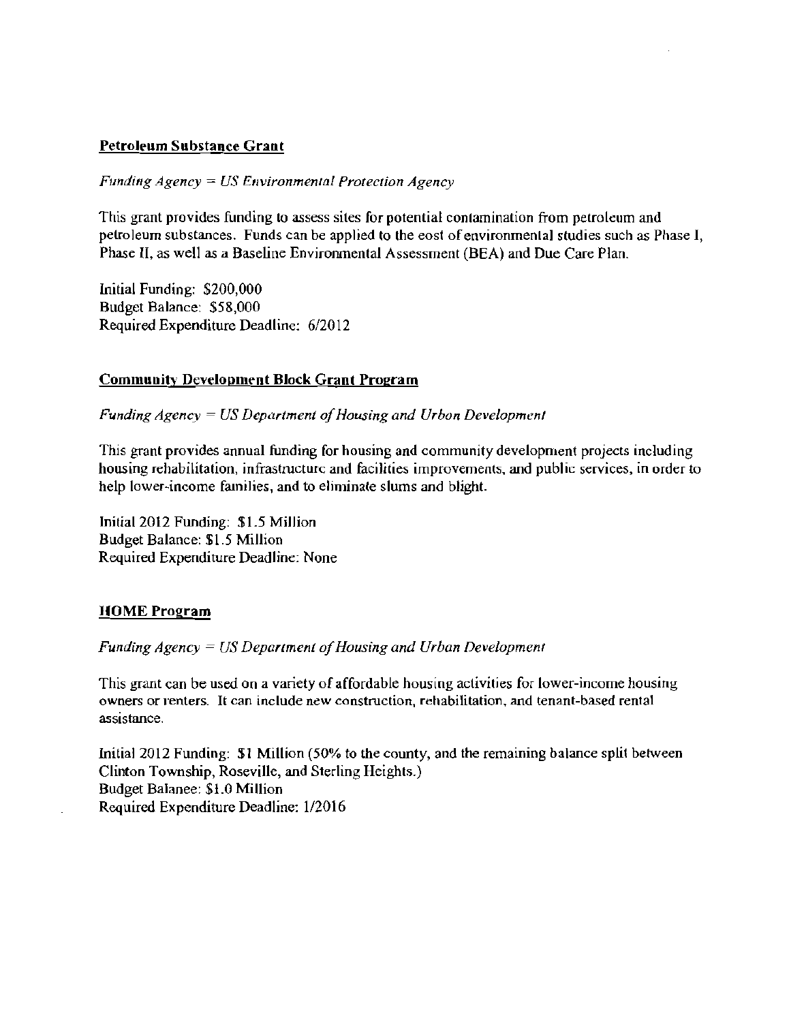#### Petroleum Substance Grant

*Funding Agency* = *US Environmental Protection Agency* 

This grant provides funding 10 assess sites for potential contamination from petroleum and petroleum substances. Funds can be applied to the eost ofenvironmental studies such as Phase I, Phase II, as well as a Baseline Environmental Assessment (BEA) and Due Care Plan.

Initial Funding: \$200,000 Budget Balance: \$58,000 Required Expenditure Deadline: 6/2012

#### Community Development Block Grant Program

*Funding Agency = US Department of Housing and Urbon Development* 

This grant provides annual funding for housing and community development projects including housing rehabilitation, infrastructure and facilities improvements, and public services, in order to help lower~income families, and to eliminate slums and blight.

Initial 2012 Funding: \$1.5 Million Budget Balance: \$1.5 Million Required Expenditure Deadline: None

#### HOME Program

*Funding Agency = US Department of Housing and Urban Development* 

This grant can be used On a variety of affordable housing activities for lower-income housing owners or renters. It can include new construction, rehabilitation, and tenant-based rental assistance.

Initia12012 Funding: \$1 Million (50% to the county, and the remaining balance split between Clinton Township, Roseville, and Sterling Heights.) Budget Balanee: \$1.0 Million Required Expenditure Deadline: 1/2016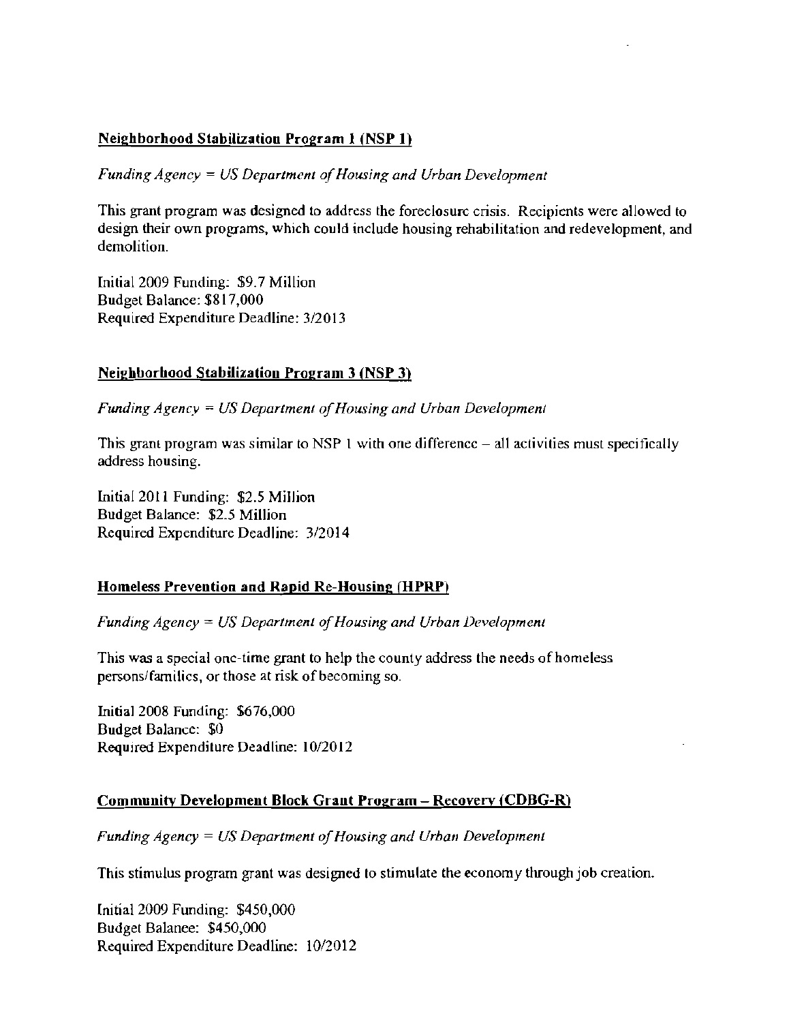#### Neighborhood Stabilization Program 1 (NSP 1)

*Funding Agency = US Department of Housing and Urban Development* 

This grant program was designed to address the foreclosure crisis. Recipients were allowed to design their own programs, which could include housing rehabilitation and redevelopment, and demolition.

lnitia12009 Funding: \$9.7 Million Budget Balance: \$817,000 Required Expenditure Deadline: 3/2013

#### Neighborhood Stabilization Program 3 (NSP 3)

*Funding Agency* = *US Department ofHousing and Urban Development* 

This grant program was similar to NSP 1 with one difference  $-$  all activities must specifically address housing.

lnitial2011 Funding: \$2.5 Million Budget Balance: \$2.5 Million Required Expenditure Deadline: 3/2014

#### Homeless Prevention and Rapid Re-Housing (HPRP)

*Funding Agency = US Department of Housing and Urban Development* 

This was a special one-time grant to help the county address the needs of homeless persons/families, or those at risk of becoming so.

lnitia] 2008 Funding: \$676,000 Budget Balance: \$0 Required Expenditure Deadline: 10/2012

#### Community Development Block Grant Program - Recovery (CDBG-R)

*Funding Agency = US Department of Housing and Urban Development* 

This stimulus program grant was designed to stimulate the economy through job creation.

Initial 2009 Funding: \$450,000 Budget Balance: \$450,000 Required Expenditure Deadline: 10/2012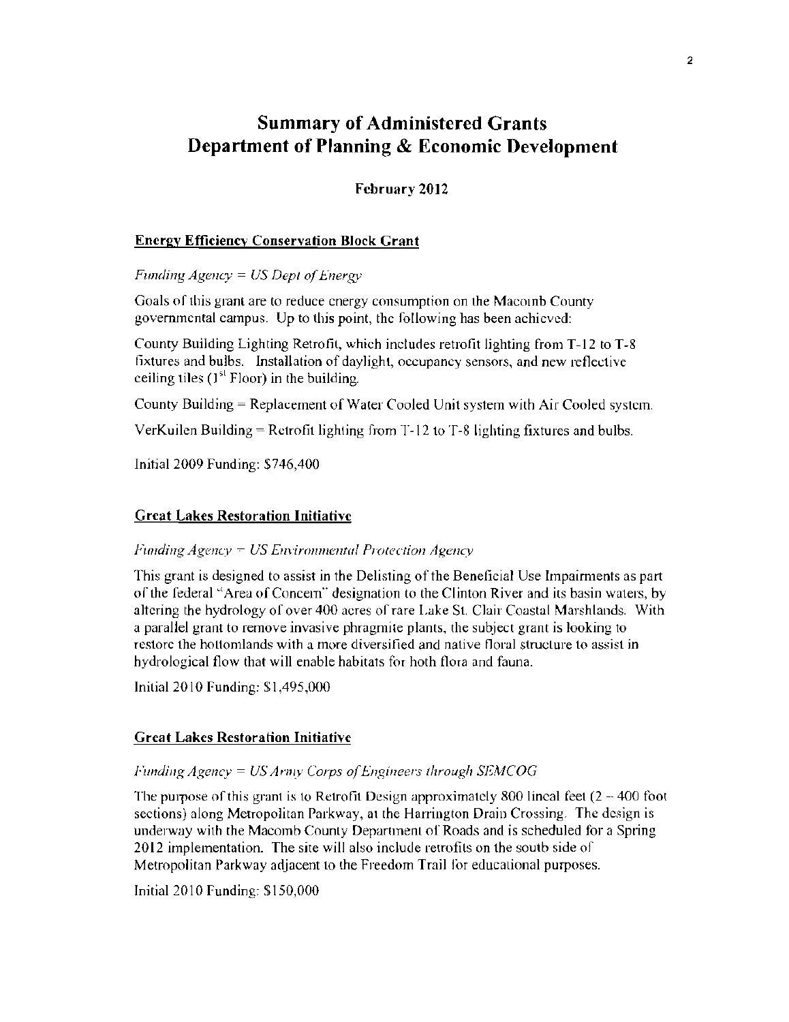### Summary of Administered Grants Department of Planning & Economic Development

**February 2012** 

#### **Energy Efficiency Conservation Block Grant**

*Funding Agency = US Dept of Energy* 

Goals of this grant are to reduce energy consumption on the Macomb County governmental campus. Up to this point, the following has been achieved:

County Building Lighting Retrofit, which includes retrofit lighting from  $T-12$  to  $T-8$ fixtures and bulbs. Installation of daylight, occupancy sensors, and new reflective ceiling tiles  $(1<sup>st</sup>$  Floor) in the building.

County Building = Replacement of Water *Cooled* Unit system with Air Cooled system.

VerKuilen Building  $=$  Retrofit lighting from T-12 to T-8 lighting fixtures and bulbs.

Initial 2009 Funding: \$746,400

#### **Great Lakes Restoration Initiative**

*Funding Agency = US Environmental Protection Agency* 

This grant is designed to assist in the Delisting of the Beneficial Use Impairments as part of the federal "Area of Concern" designation to the Clinton River and its basin waters, by altering the hydrology of over 400 acres of rare Lake St. Clair Coastal Marshlands. With a parallel grant to remove invasive phragmite plants, the subject grant is looking to restore the hottomlands with a more diversified and native floral structure to assist in hydrological flow that will enable habitats for hoth flora and fauna.

Initial 2010 Funding: \$1,495,000

#### **Great Lakes Restoration Initiative**

#### *Funding Agency* = *US Army Corps of Engineers through SEMCOG*

The purpose of this grant is to Retrofit Design approximately 800 lineal feet  $(2 - 400$  foot sections) along Metropolitan Parkway, al the Harrington Drain Crossing. The design is underway with the Macomb County Department of Roads and is scheduled for a Spring 2012 implementation. The site will also include retrofits on the soutb side of Metropolitan Parkway adjacent to the Freedom Trail for educational purposes.

Initial 2010 Funding: \$150,000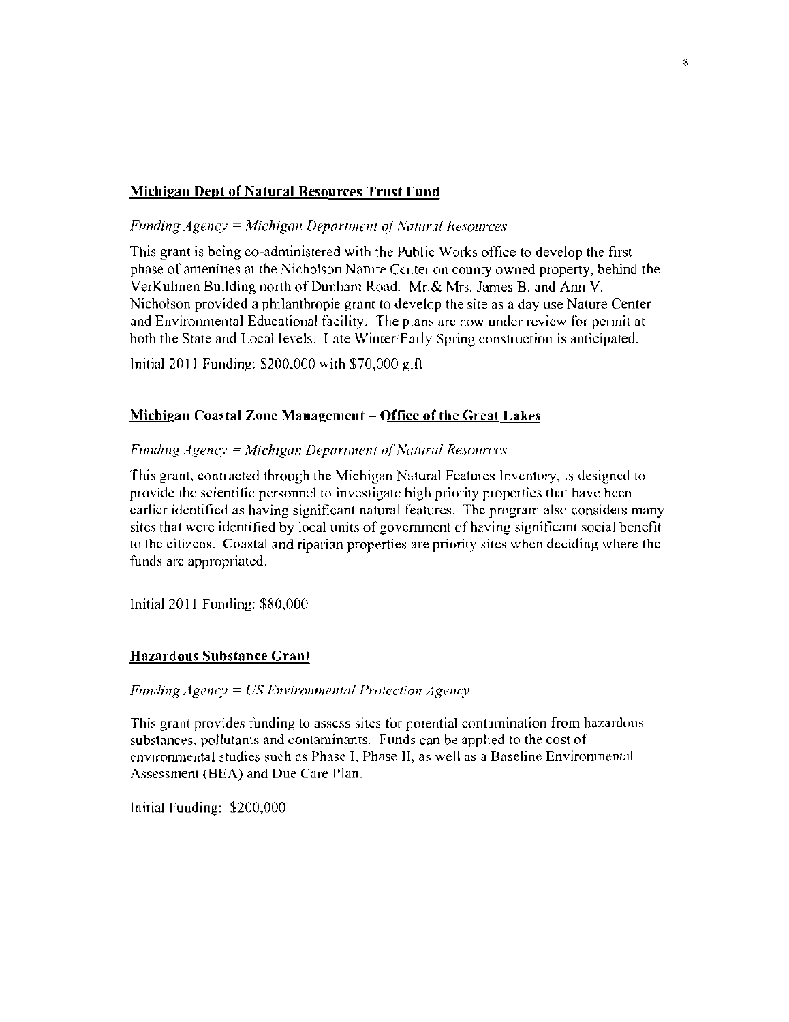#### Michigan Dept of Natural Resources Trust Fund

#### *Funding Agency = Michigan Department of Natural Resources*

This grant is being co-administered with the Puhlic Works office to develop the first phase of amenities at the Nicholson Nature Center on county owned property, behind the VerKulinen Building north afDunham Road. Mr.& Mrs. James B. and Ann V. Nicholson provided a philanthropie grant to develop the site as a day use Nature Center and Environmenral Educational facility. The plans are now under review Jor pennil at hoth the State and Local levels. Late Winter/Eady Spring construction is anticipated.

Initial 2011 Fundmg: \$200,000 wilh \$70,000 gift

#### Michigan Coastal Zone Management - Office of the Great Lakes

#### *Fill/ding Agenc\>'* = *Michigan Department olNatura! Resources*

This grant, contracted through the Michigan Natural Features Inventory, is designed to provide the scientific personnel to investigate high priority properties that have been earlier identified as having significant natural features. The program also considers many sites that were identified by local units of government of having significant social benefit to the citizens. Coastal and riparian properties are priority sites when deciding where the funds are appropriated.

Initial 2011 Funding: \$80,000

#### Hazardous Substance Cran'

*Funding Agency = US Environmental Protection Agency* 

This grant provides funding to assess sites for potential contamination from hazardous. substances, pollutants and contaminants. Funds can be applied to the cost of environmental studies such as Phase I, Phase II, as well as a Baseline Environmental Assessment (BEA) and Due Care Plan.

Initial Fuuding: \$200,000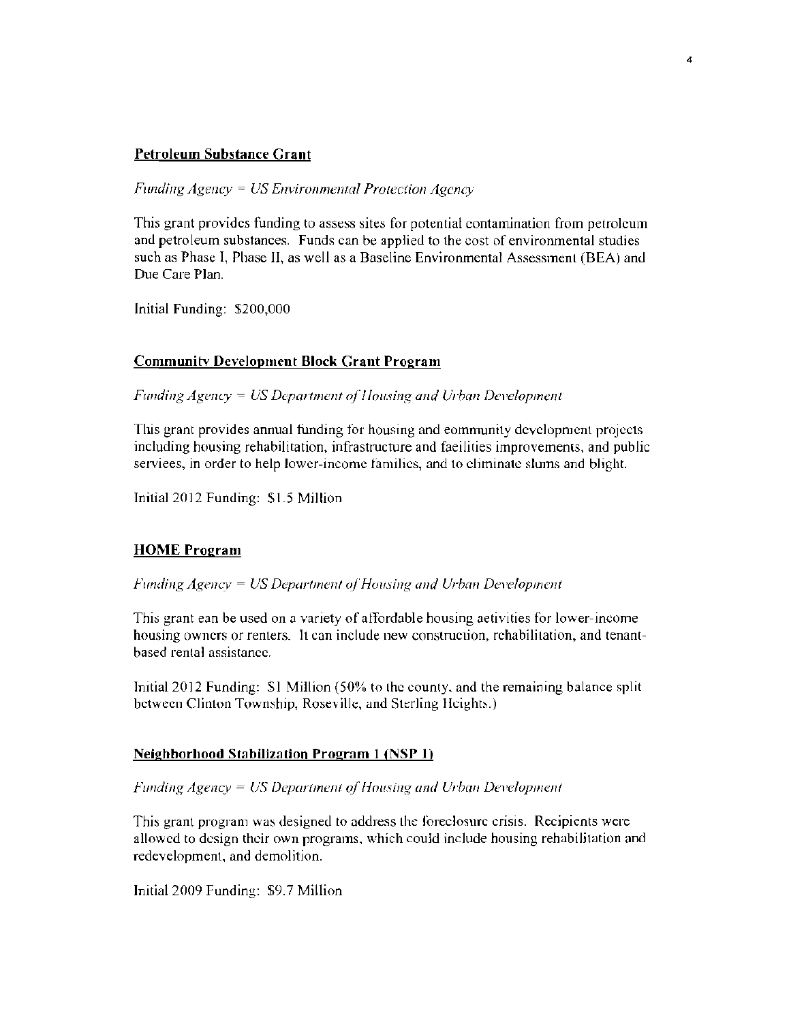#### **Petroleum Substance Grant**

*Funding Agency = US Environmental Protection Agency* 

This grant provides funding to assess sites for potential contamination from petroleum and petroleum substances. Funds can be applied to the cost of environmental studies such as Phase I, Pbase II, as well as a Baseline Environmental Assessment (BEA) and Due Care Plan.

,

Initial Funding: \$200,000

#### Communitv **Development Block Crant Program**

*Funding Agency = US Department of Housing and Urban Development* 

This grant provides annual funding for housing and eommunity development projects including housing rehabilitation, infrastructure and faeilities improvements, and public serviees, in order to help lower-income families, and 10 eliminate slums and blight.

Initial 2012 Funding: \$1.5 Million

#### **HOME Program**

#### *Funding Agency = US Department of Housing and Urban Development*

This grant ean be used on a vanety of affordable housing aetivities for lower-income housing owners or renters. It can include new construction, rehabilitation, and tenantbased rental assistance.

Imtial2012 Funding: 51 Million (50% to the county. and the remaining balance split between Clinton Township, Roseville, and Sterling Heights.)

#### **Neighborhood Stabilization Program 1 (NSP l)**

#### *Funding Agency = US Department of Housing and Urban Development*

This grant program was designed to address the foreclosure crisis. Recipients were allowed to design their own programs, which could include housing rehabilitation and redevelopment, and demolition.

Initial 2009 Funding: \$9.7 Million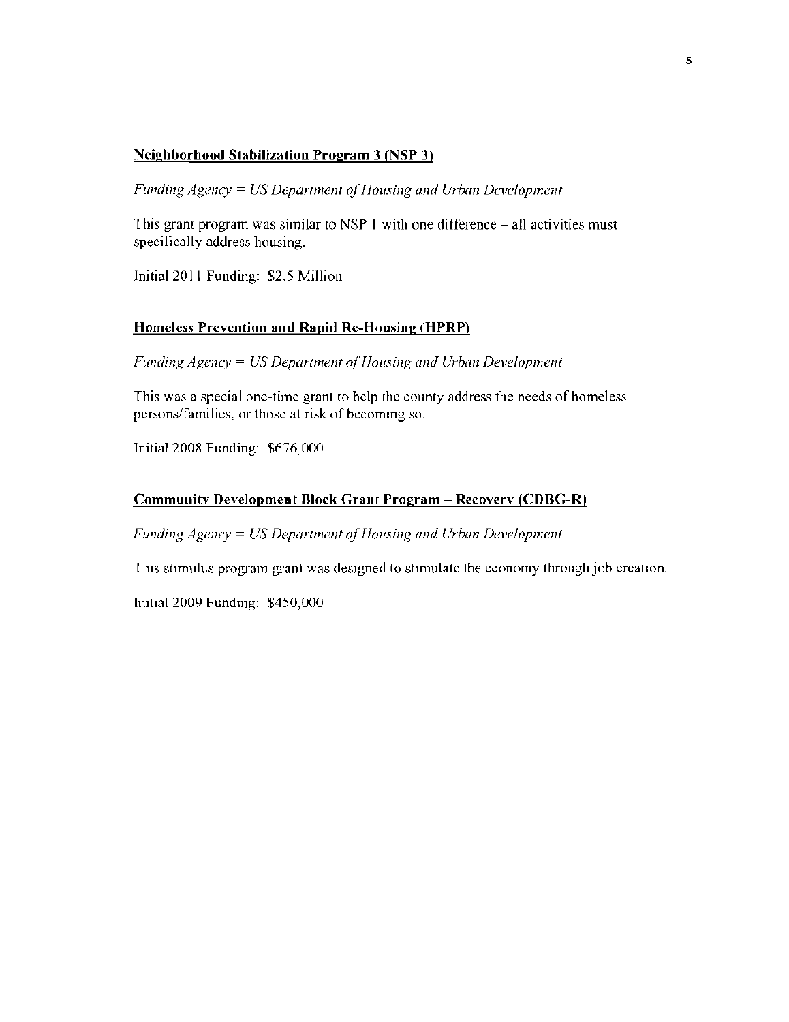#### Neighborhood Stabilization Program 3 (NSP 3)

*Funding Agency = US Department of Housing and Urban Development* 

This grant program was similar to NSP  $\ddagger$  with one difference – all activities must specifically address housing.

Initial 2011 Funding: S2.5 Million

#### Homeless Prevention and Rapid Re-Housing (HPRP)

*Funding Agency = US Department of Housing and Urban Development* 

This was a special one-time grant to help the county address the needs of homeless persons/families, or those at risk of becoming so.

Initial 2008 Funding: \$676,000

#### Community Development Block Grant Program - Recovery (CDBG-R)

*Funding Agency = US Department of Housing and Urban Development* 

This stimulus program grant was designed to stimulate the economy through job creation.

Initial 2009 Funding: \$450,000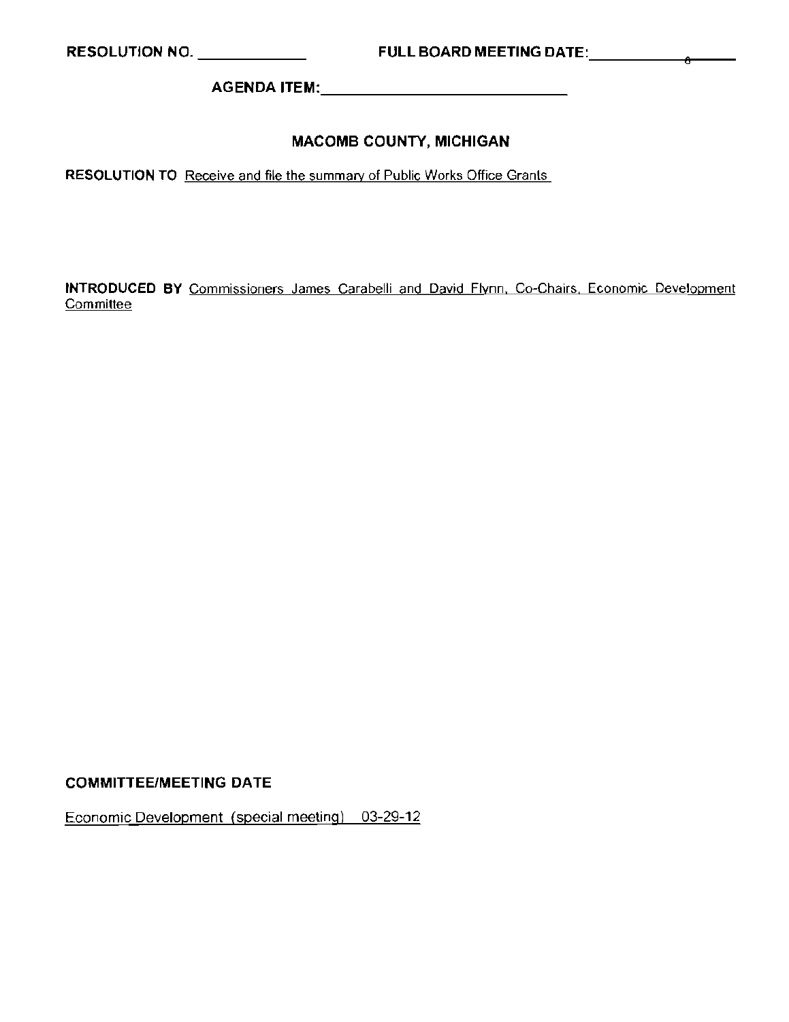AGENDA ITEM: \_

#### MACOMB COUNTY, MICHIGAN

**RESOLUTION TO** Receive and file the summary of Public Works Office Grants

**INTRODUCED BY** Commissioners James Carabelli and David Flynn, Co-Chairs, Economic Development **Committee** 

#### COMMITTEE/MEETING DATE

Economic Development (special meeting) 03-29-12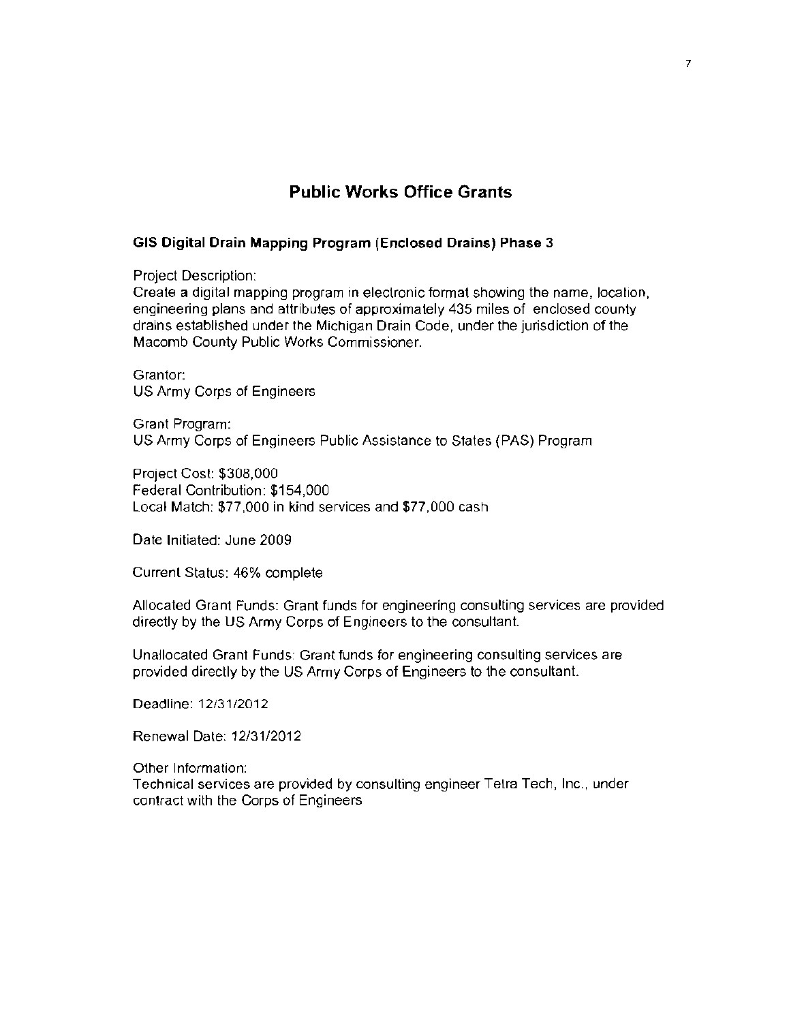#### Public Works Office Grants

#### **GIS Digital Drain Mapping Program (Enclosed Drains) Phase 3**

Project Description:

Create a digital mapping program in electronic format showing the name, location, engineering plans and attributes of approximately 435 miles of enclosed county drains established under the Michigan Drain Code, under the jurisdiction of the Macomb County Public Works Commissioner.

Grantor: US Army Corps of Engineers

Grant Program: US Army Corps of Engineers Public Assistance to States (PAS) Program

Project Cost: \$308,000 Federal Contribution: \$154,000 Local Match: \$77,000 in kind services and \$77,000 cash

Date Initiated: June 2009

Currenl Status: 46% complete

Allocated Grant Funds: Grant funds for engineering consulting services are provided directly by the US Army Corps of Engineers to the consultant.

Unallocated Grant Funds: Grant funds for engineering consulting services are provided directly by the US Army Corps of Engineers to the consultant.

Deadline: 12/31/2012

Renewal Dale: 12/31/2012

Other Information: Technical services are provided by consulting engineer Telra Tech, Inc., under contract with the Corps of Engineers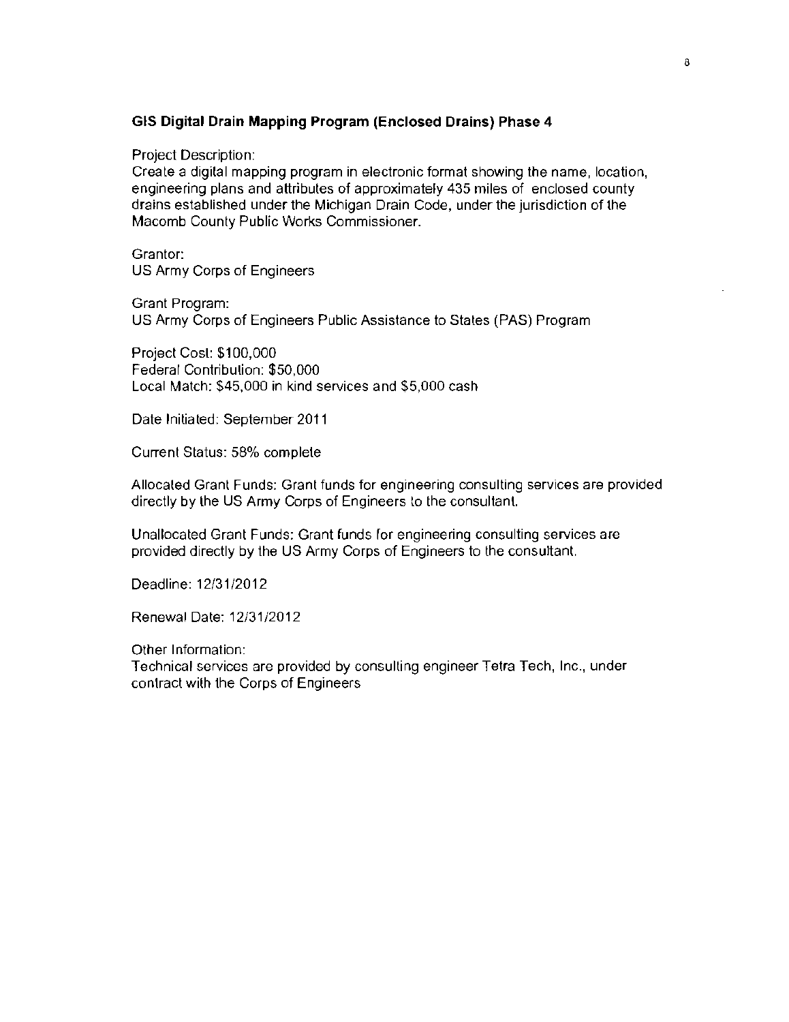#### **GIS Digital Drain Mapping Program (Enclosed Drains) Phase 4**

Project Description:

Create a digital mapping program in electronic format showing the name, location, engineering plans and attributes of approximately 435 miles of enclosed county drains established under the Michigan Drain Code, under the jurisdiction of the Macomb County Public Works Commissioner.

Grantor: US Army Corps of Engineers

Grant Program: US Army Corps of Engineers Public Assistance to States (PAS) Program

Project Cosl: \$100,000 Federal Contribution: \$50,000 Local Match: \$45,000 in kind services and \$5,000 cash

Date Initiated: September 2011

Current Status: 58% complete

Allocated Grant Funds: Grant funds for engineering consulting services are provided directly by the US Army Corps of Engineers to the consultant

Unallocated Grant Funds: Grant funds for engineering consulting services are provided directly by the US Army Corps of Engineers to the consultant.

Deadline: 12/31/2012

Renewal Dale: 12/31/2012

Other Information:

Technical services are provided by consulting engineer Tetra Tech, Inc., under contract with the Corps of Engineers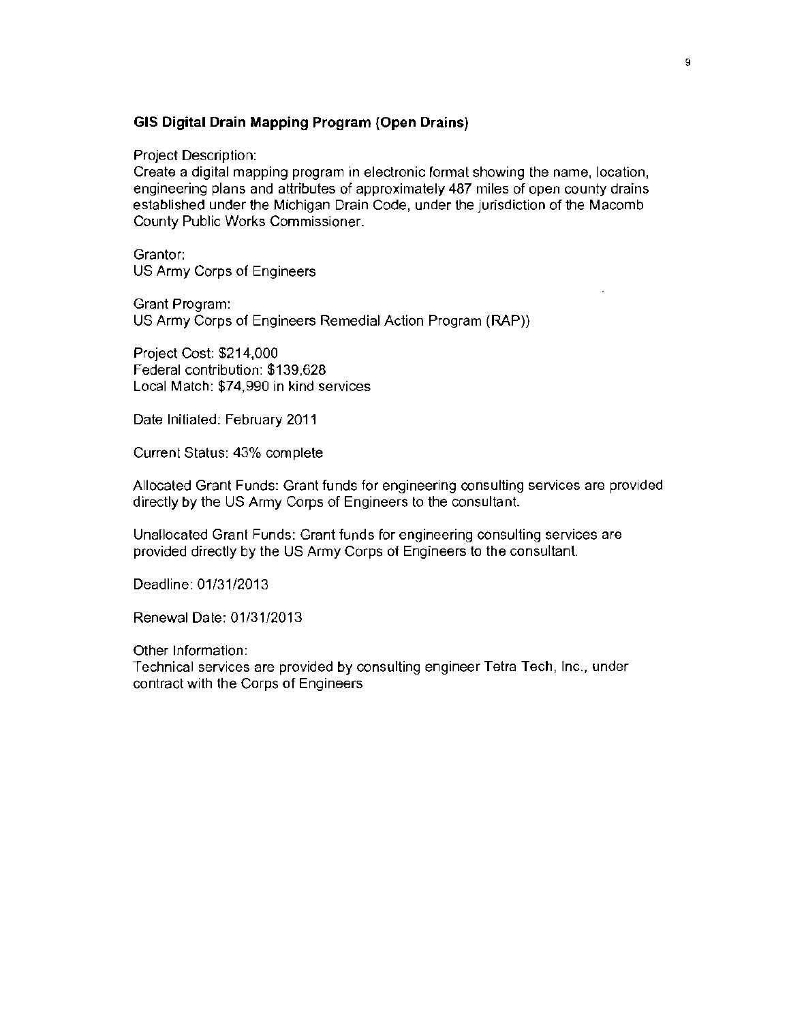#### **GIS Digital Drain Mapping Program (Open Drains)**

Project Description:

Create a digital mapping program in electronic format showing the name, location, engineering plans and attributes of approximately 487 miles of open county drains established under the Michigan Drain Code, under the jurisdiction of the Macomb County Public Works Commissioner.

Grantor: US Army Corps of Engineers

Grant Program: US Army Corps of Engineers Remedial Action Program (RAP))

Project Cost: \$214.000 Federal contribution: \$139,628 Local Match: \$74,990 in kind services

Date Initiated: February 2011

Current Status: 43% complete

Allocated Grant Funds: Grant funds for engineering consulting services are provided directly by the US Army Corps of Engineers to the consultant.

Unallocated Grant Funds: Grant funds for engineering consulting services are provided directly by the US Army Corps of Engineers to the consultant.

Deadline: 01/31/2013

Renewal Date: 01/31/2013

Other Information:

Technical services are provided by consulting engineer Tetra Tech, Inc., under contract with the Corps of Engineers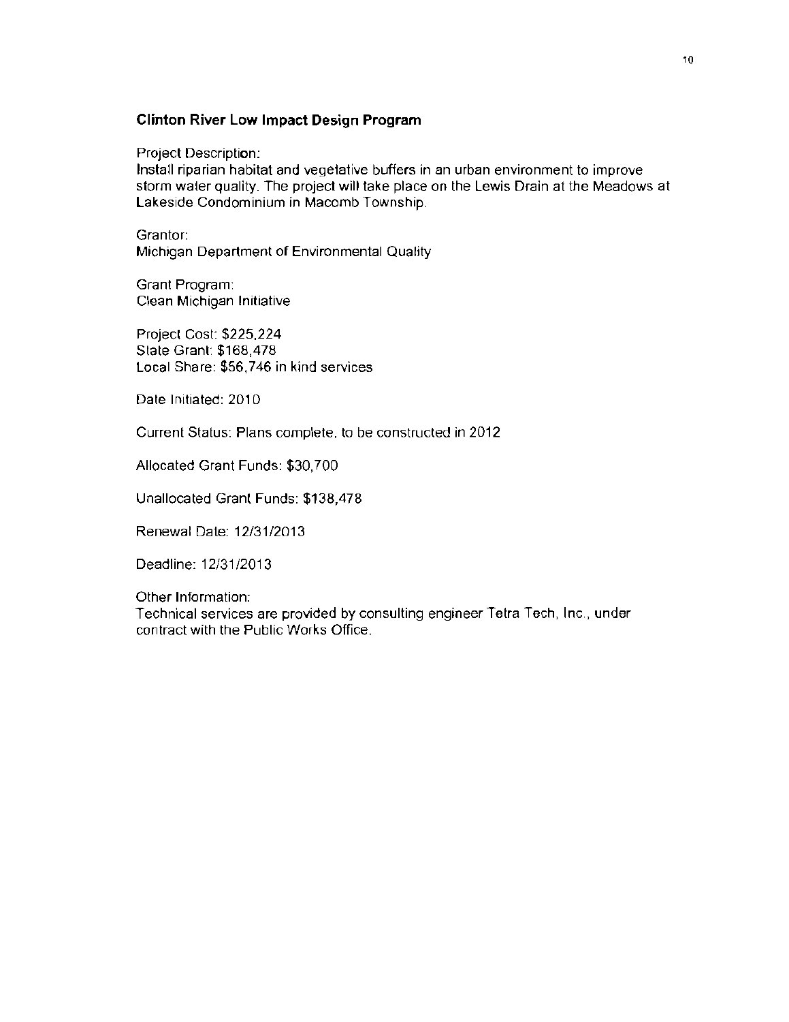#### **Clinton River Low Impact Design Program**

Project Description:

Install riparian habitat and vegetative buffers in an urban environment to improve storm water quality. The project will take place on the Lewis Drain at the Meadows at Lakeside Condominium in Macomb Township.

Grantor: Michigan Department of Environmental Quality

Grant Program: Clean Michigan Initiative

Projecl Cost: \$225,224 State Grant: \$168,478 Local Share: \$56,746 in kind services

Date Initiated: 2010

Current Status: Plans complete. to be constructed in 2012

Allocated Grant Funds: \$30,700

Unallocated Granl Funds: \$138,478

Renewal Date: 12/31/2013

Deadline: 12/31/2013

Other Information:

Technical services are provided by consulting engineer Tetra Tech, Inc., under contract with the Public Works Office.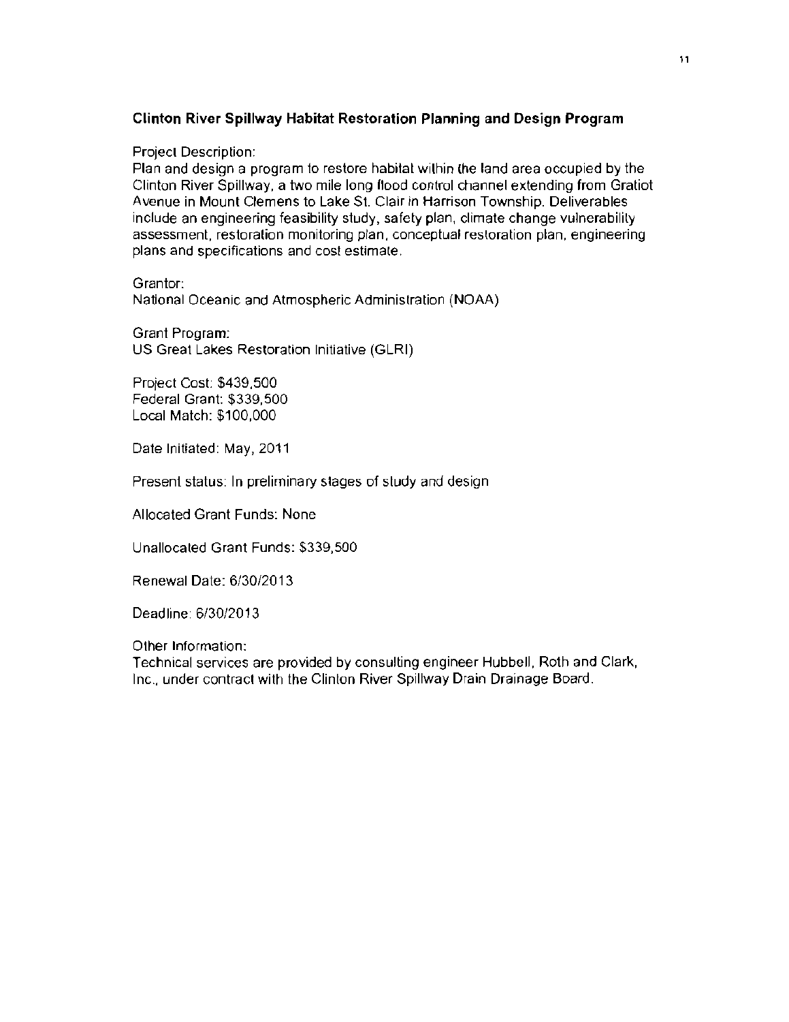#### **Clinton River Spillway Habitat Restoration Planning and Design Program**

#### Project Description:

Plan and design a program to restore habitat within {he land area occupied by the Clinton River Spillway, a two mile long flood control channel extending from Gratiot Avenue in Mount Clemens to Lake St. Clair in Harrison Township. Deliverables include an engineering feasibility study, safety plan, climate change vulnerabilily assessment, restoration monitoring plan, conceptual resloration plan, engineering plans and specifications and cost estimate.

Grantor:

National Oceanic and Atmospheric Administration (NOAA)

Grant Program: US Great Lakes Restoration Initiative (GLRI)

Project Cost: \$439,500 Federal Grant: \$339,500 Local Match: \$100,000

Date Initiated: May, 2011

Present status: In preliminary stages of study and design

Allocated Grant Funds: None

Unallocated Grant Funds: \$339,500

Renewal Date: 6/30/2013

Deadline: 6/30/2013

Other Information:

Technical services are provided by consulting engineer Hubbell, Roth and Clark, Inc., under contract with the Clinton River Spillway Drain Drainage Board.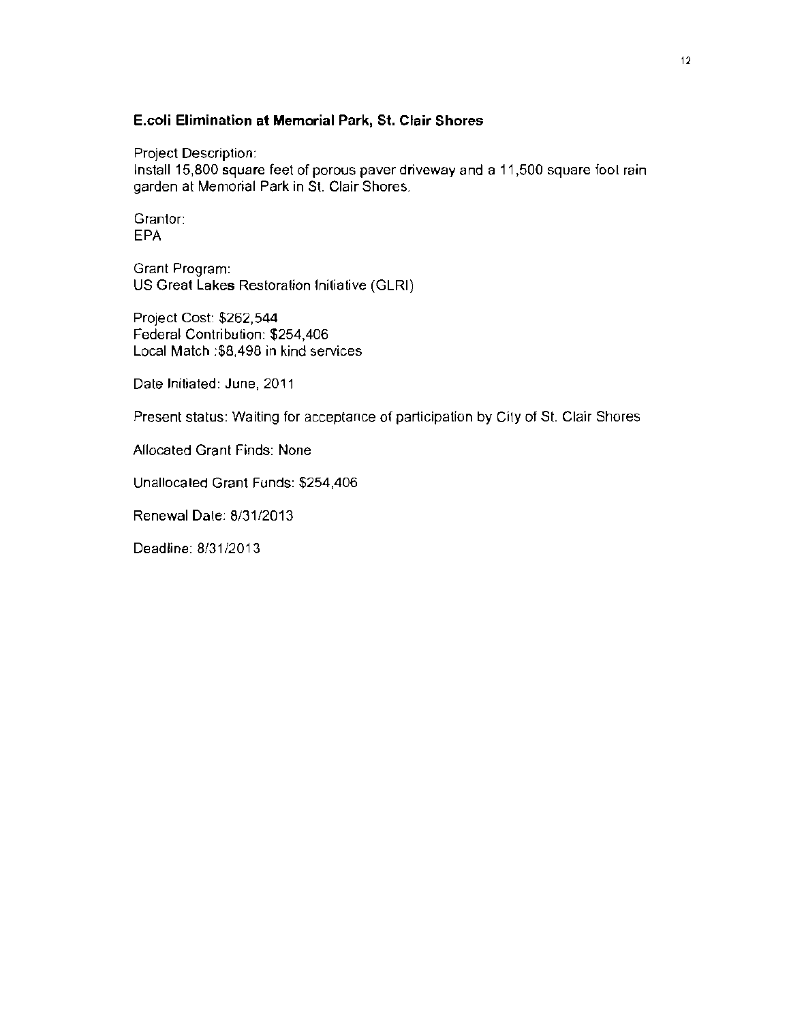#### **E.coli Elimination at Memorial Park, St. Clair Shores**

Project Description:

Install 15,800 square feet of porous paver driveway and a 11,500 square fool rain garden at Memorial Park in St. Clair Shores.

Grantor: EPA

Grant Program: US Great Lakes Restoration Initiative (GLRI)

Project Cost: \$262,544 Federal Contribution: \$254,406 Local Match :\$8,498 in kind services

Date Initiated: June, 2011

Present status: Waiting for acceptance of participation by City of St. Clair Shores

Allocated Grant Finds: None

Unallocaled Grant Funds: \$254,406

Renewal Date: 8131/2013

Deadline: 8/31/2013